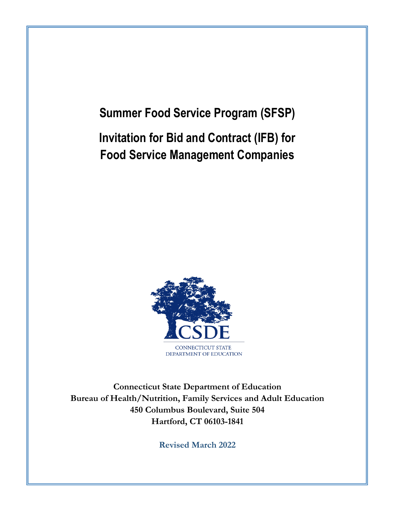**Summer Food Service Program (SFSP)**

**Invitation for Bid and Contract (IFB) for Food Service Management Companies**



**Connecticut State Department of Education Bureau of Health/Nutrition, Family Services and Adult Education 450 Columbus Boulevard, Suite 504 Hartford, CT 06103-1841**

**Revised March 2022**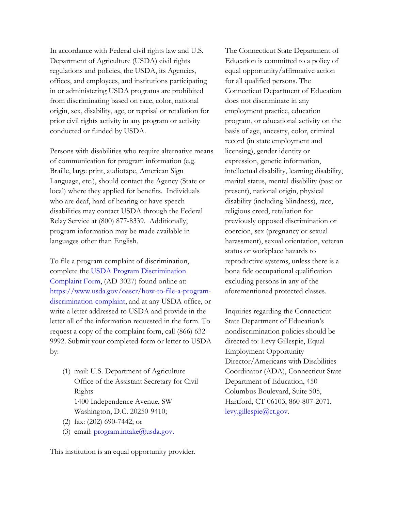In accordance with Federal civil rights law and U.S. Department of Agriculture (USDA) civil rights regulations and policies, the USDA, its Agencies, offices, and employees, and institutions participating in or administering USDA programs are prohibited from discriminating based on race, color, national origin, sex, disability, age, or reprisal or retaliation for prior civil rights activity in any program or activity conducted or funded by USDA.

Persons with disabilities who require alternative means of communication for program information (e.g. Braille, large print, audiotape, American Sign Language, etc.), should contact the Agency (State or local) where they applied for benefits. Individuals who are deaf, hard of hearing or have speech disabilities may contact USDA through the Federal Relay Service at (800) 877-8339. Additionally, program information may be made available in languages other than English.

To file a program complaint of discrimination, complete the [USDA Program Discrimination](https://www.usda.gov/sites/default/files/documents/USDA-OASCR%20P-Complaint-Form-0508-0002-508-11-28-17Fax2Mail.pdf)  [Complaint Form,](https://www.usda.gov/sites/default/files/documents/USDA-OASCR%20P-Complaint-Form-0508-0002-508-11-28-17Fax2Mail.pdf) (AD-3027) found online at: [https://www.usda.gov/oascr/how-to-file-a-program](https://www.usda.gov/oascr/how-to-file-a-program-discrimination-complaint)[discrimination-complaint,](https://www.usda.gov/oascr/how-to-file-a-program-discrimination-complaint) and at any USDA office, or write a letter addressed to USDA and provide in the letter all of the information requested in the form. To request a copy of the complaint form, call (866) 632- 9992. Submit your completed form or letter to USDA by:

- (1) mail: U.S. Department of Agriculture Office of the Assistant Secretary for Civil Rights 1400 Independence Avenue, SW Washington, D.C. 20250-9410;
- (2) fax: (202) 690-7442; or
- (3) email: [program.intake@usda.gov.](mailto:program.intake@usda.gov)

The Connecticut State Department of Education is committed to a policy of equal opportunity/affirmative action for all qualified persons. The Connecticut Department of Education does not discriminate in any employment practice, education program, or educational activity on the basis of age, ancestry, color, criminal record (in state employment and licensing), gender identity or expression, genetic information, intellectual disability, learning disability, marital status, mental disability (past or present), national origin, physical disability (including blindness), race, religious creed, retaliation for previously opposed discrimination or coercion, sex (pregnancy or sexual harassment), sexual orientation, veteran status or workplace hazards to reproductive systems, unless there is a bona fide occupational qualification excluding persons in any of the aforementioned protected classes.

Inquiries regarding the Connecticut State Department of Education's nondiscrimination policies should be directed to: Levy Gillespie, Equal Employment Opportunity Director/Americans with Disabilities Coordinator (ADA), Connecticut State Department of Education, 450 Columbus Boulevard, Suite 505, Hartford, CT 06103, 860-807-2071, [levy.gillespie@ct.gov.](mailto:levy.gillespie@ct.gov)

This institution is an equal opportunity provider.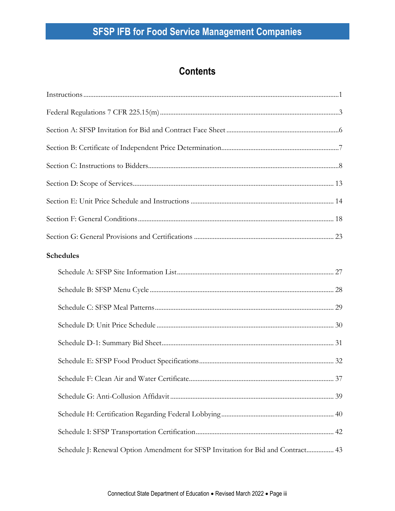# **Contents**

| <b>Schedules</b>                                                                 |
|----------------------------------------------------------------------------------|
|                                                                                  |
|                                                                                  |
|                                                                                  |
|                                                                                  |
|                                                                                  |
|                                                                                  |
|                                                                                  |
|                                                                                  |
|                                                                                  |
|                                                                                  |
| Schedule J: Renewal Option Amendment for SFSP Invitation for Bid and Contract 43 |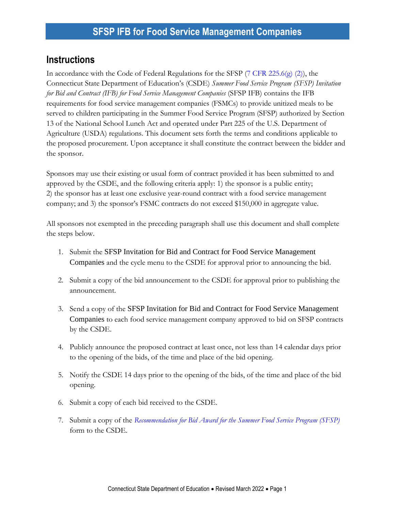### <span id="page-4-0"></span>**Instructions**

In accordance with the Code of Federal Regulations for the SFSP  $(7 \text{ CFR } 225.6(g) (2))$ , the Connecticut State Department of Education's (CSDE) *Summer Food Service Program (SFSP) Invitation for Bid and Contract (IFB) for Food Service Management Companies* (SFSP IFB) contains the IFB requirements for food service management companies (FSMCs) to provide unitized meals to be served to children participating in the Summer Food Service Program (SFSP) authorized by Section 13 of the National School Lunch Act and operated under Part 225 of the U.S. Department of Agriculture (USDA) regulations. This document sets forth the terms and conditions applicable to the proposed procurement. Upon acceptance it shall constitute the contract between the bidder and the sponsor.

Sponsors may use their existing or usual form of contract provided it has been submitted to and approved by the CSDE, and the following criteria apply: 1) the sponsor is a public entity; 2) the sponsor has at least one exclusive year-round contract with a food service management company; and 3) the sponsor's FSMC contracts do not exceed \$150,000 in aggregate value.

All sponsors not exempted in the preceding paragraph shall use this document and shall complete the steps below.

- 1. Submit the SFSP Invitation for Bid and Contract for Food Service Management Companies and the cycle menu to the CSDE for approval prior to announcing the bid.
- 2. Submit a copy of the bid announcement to the CSDE for approval prior to publishing the announcement.
- 3. Send a copy of the SFSP Invitation for Bid and Contract for Food Service Management Companies to each food service management company approved to bid on SFSP contracts by the CSDE.
- 4. Publicly announce the proposed contract at least once, not less than 14 calendar days prior to the opening of the bids, of the time and place of the bid opening.
- 5. Notify the CSDE 14 days prior to the opening of the bids, of the time and place of the bid opening.
- 6. Submit a copy of each bid received to the CSDE.
- 7. Submit a copy of the *[Recommendation for Bid Award for the Summer Food Service Program \(SFSP\)](https://portal.ct.gov/-/media/SDE/Nutrition/FSMC/SFSP_Recommendation_Bid_Award.pdf)* form to the CSDE.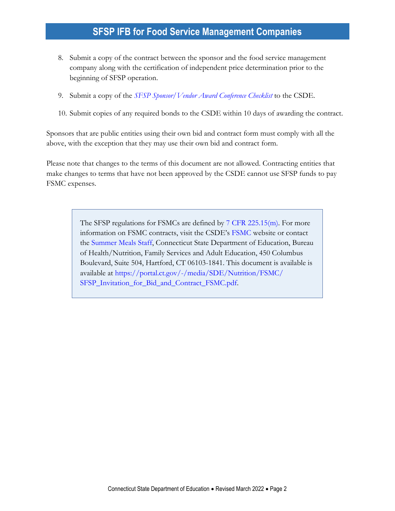- 8. Submit a copy of the contract between the sponsor and the food service management company along with the certification of independent price determination prior to the beginning of SFSP operation.
- 9. Submit a copy of the *[SFSP Sponsor/Vendor Award Conference Checklist](https://portal.ct.gov/-/media/SDE/Nutrition/FSMC/SFSP_Sponsor_Vendor_Award_Conference_Checklist.pdf)* to the CSDE.
- 10. Submit copies of any required bonds to the CSDE within 10 days of awarding the contract.

Sponsors that are public entities using their own bid and contract form must comply with all the above, with the exception that they may use their own bid and contract form.

Please note that changes to the terms of this document are not allowed. Contracting entities that make changes to terms that have not been approved by the CSDE cannot use SFSP funds to pay FSMC expenses.

> The SFSP regulations for FSMCs are defined by [7 CFR 225.15\(m\).](https://www.ecfr.gov/current/title-7/subtitle-B/chapter-II/subchapter-A/part-225#225.15) For more information on FSMC contracts, visit the CSDE's [FSMC](https://portal.ct.gov/SDE/Nutrition/Food-Service-Management-Company) website or contact the [Summer Meals Staff,](https://portal.ct.gov/SDE/Nutrition/Summer-Food-Service-Program/Contact) Connecticut State Department of Education, Bureau of Health/Nutrition, Family Services and Adult Education, 450 Columbus Boulevard, Suite 504, Hartford, CT 06103-1841. This document is available is available at [https://portal.ct.gov/-/media/SDE/Nutrition/FSMC/](https://portal.ct.gov/-/media/SDE/‌Nutrition/FSMC/SFSP_Invitation_for_Bid_and_Contract_FSMC.pdf) [SFSP\\_Invitation\\_for\\_Bid\\_and\\_Contract\\_FSMC.pdf.](https://portal.ct.gov/-/media/SDE/‌Nutrition/FSMC/SFSP_Invitation_for_Bid_and_Contract_FSMC.pdf)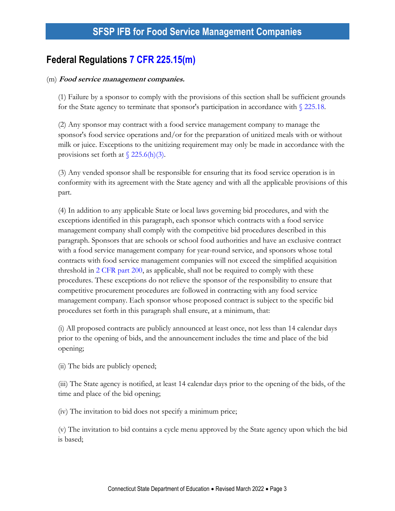### <span id="page-6-0"></span>**Federal Regulations [7 CFR 225.15\(m\)](https://www.ecfr.gov/current/title-7/subtitle-B/chapter-II/subchapter-A/part-225#225.15)**

#### (m) **Food service management companies.**

(1) Failure by a sponsor to comply with the provisions of this section shall be sufficient grounds for the State agency to terminate that sponsor's participation in accordance with  $\sqrt{225.18}$ .

(2) Any sponsor may contract with a food service management company to manage the sponsor's food service operations and/or for the preparation of unitized meals with or without milk or juice. Exceptions to the unitizing requirement may only be made in accordance with the provisions set forth at  $\sqrt{225.6(h)(3)}$ .

(3) Any vended sponsor shall be responsible for ensuring that its food service operation is in conformity with its agreement with the State agency and with all the applicable provisions of this part.

(4) In addition to any applicable State or local laws governing bid procedures, and with the exceptions identified in this paragraph, each sponsor which contracts with a food service management company shall comply with the competitive bid procedures described in this paragraph. Sponsors that are schools or school food authorities and have an exclusive contract with a food service management company for year-round service, and sponsors whose total contracts with food service management companies will not exceed the simplified acquisition threshold in [2 CFR part 200,](https://www.ecfr.gov/current/title-2/part-200) as applicable, shall not be required to comply with these procedures. These exceptions do not relieve the sponsor of the responsibility to ensure that competitive procurement procedures are followed in contracting with any food service management company. Each sponsor whose proposed contract is subject to the specific bid procedures set forth in this paragraph shall ensure, at a minimum, that:

(i) All proposed contracts are publicly announced at least once, not less than 14 calendar days prior to the opening of bids, and the announcement includes the time and place of the bid opening;

(ii) The bids are publicly opened;

(iii) The State agency is notified, at least 14 calendar days prior to the opening of the bids, of the time and place of the bid opening;

(iv) The invitation to bid does not specify a minimum price;

(v) The invitation to bid contains a cycle menu approved by the State agency upon which the bid is based;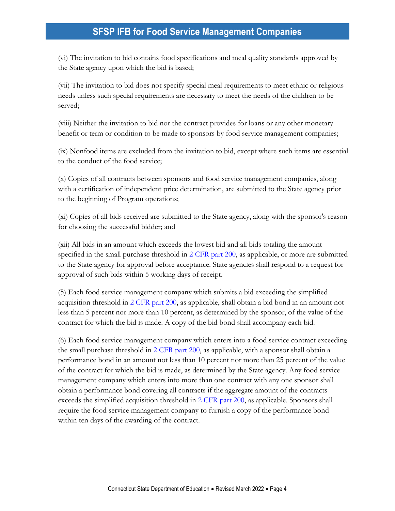(vi) The invitation to bid contains food specifications and meal quality standards approved by the State agency upon which the bid is based;

(vii) The invitation to bid does not specify special meal requirements to meet ethnic or religious needs unless such special requirements are necessary to meet the needs of the children to be served;

(viii) Neither the invitation to bid nor the contract provides for loans or any other monetary benefit or term or condition to be made to sponsors by food service management companies;

(ix) Nonfood items are excluded from the invitation to bid, except where such items are essential to the conduct of the food service;

(x) Copies of all contracts between sponsors and food service management companies, along with a certification of independent price determination, are submitted to the State agency prior to the beginning of Program operations;

(xi) Copies of all bids received are submitted to the State agency, along with the sponsor's reason for choosing the successful bidder; and

(xii) All bids in an amount which exceeds the lowest bid and all bids totaling the amount specified in the small purchase threshold in [2 CFR part 200,](https://www.ecfr.gov/current/title-2/part-200) as applicable, or more are submitted to the State agency for approval before acceptance. State agencies shall respond to a request for approval of such bids within 5 working days of receipt.

(5) Each food service management company which submits a bid exceeding the simplified acquisition threshold in [2 CFR part 200,](https://www.ecfr.gov/current/title-2/part-200) as applicable, shall obtain a bid bond in an amount not less than 5 percent nor more than 10 percent, as determined by the sponsor, of the value of the contract for which the bid is made. A copy of the bid bond shall accompany each bid.

(6) Each food service management company which enters into a food service contract exceeding the small purchase threshold in [2 CFR part 200,](https://www.ecfr.gov/current/title-2/part-200) as applicable, with a sponsor shall obtain a performance bond in an amount not less than 10 percent nor more than 25 percent of the value of the contract for which the bid is made, as determined by the State agency. Any food service management company which enters into more than one contract with any one sponsor shall obtain a performance bond covering all contracts if the aggregate amount of the contracts exceeds the simplified acquisition threshold in [2 CFR part 200,](https://www.ecfr.gov/current/title-2/part-200) as applicable. Sponsors shall require the food service management company to furnish a copy of the performance bond within ten days of the awarding of the contract.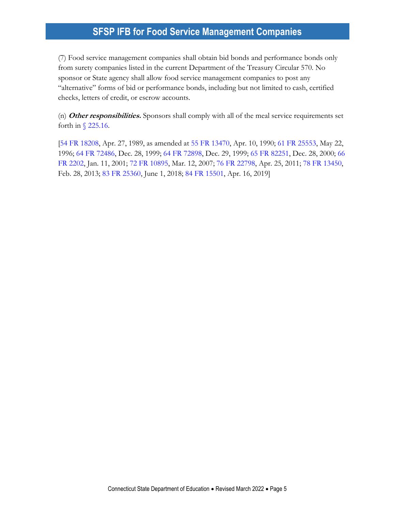(7) Food service management companies shall obtain bid bonds and performance bonds only from surety companies listed in the current Department of the Treasury Circular 570. No sponsor or State agency shall allow food service management companies to post any "alternative" forms of bid or performance bonds, including but not limited to cash, certified checks, letters of credit, or escrow accounts.

(n) **Other responsibilities.** Sponsors shall comply with all of the meal service requirements set forth in [§ 225.16.](https://www.ecfr.gov/current/title-7/section-225.16)

[\[54 FR 18208,](https://www.federalregister.gov/citation/54-FR-18208) Apr. 27, 1989, as amended at [55 FR 13470,](https://www.federalregister.gov/citation/55-FR-13470) Apr. 10, 1990; [61 FR 25553,](https://www.federalregister.gov/citation/61-FR-25553) May 22, 1996; [64 FR 72486,](https://www.federalregister.gov/citation/64-FR-72486) Dec. 28, 1999; [64 FR 72898,](https://www.federalregister.gov/citation/64-FR-72898) Dec. 29, 1999; [65 FR 82251,](https://www.federalregister.gov/citation/65-FR-82251) Dec. 28, 2000; [66](https://www.federalregister.gov/citation/66-FR-2202)  [FR 2202,](https://www.federalregister.gov/citation/66-FR-2202) Jan. 11, 2001; [72 FR 10895,](https://www.federalregister.gov/citation/72-FR-10895) Mar. 12, 2007; [76 FR 22798,](https://www.federalregister.gov/citation/76-FR-22798) Apr. 25, 2011; [78 FR 13450,](https://www.federalregister.gov/citation/78-FR-13450) Feb. 28, 2013; [83 FR 25360,](https://www.federalregister.gov/citation/83-FR-25360) June 1, 2018; [84 FR 15501,](https://www.federalregister.gov/citation/84-FR-15501) Apr. 16, 2019]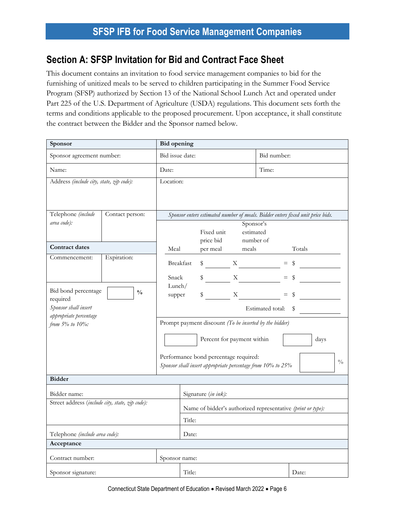### <span id="page-9-0"></span>**Section A: SFSP Invitation for Bid and Contract Face Sheet**

This document contains an invitation to food service management companies to bid for the furnishing of unitized meals to be served to children participating in the Summer Food Service Program (SFSP) authorized by Section 13 of the National School Lunch Act and operated under Part 225 of the U.S. Department of Agriculture (USDA) regulations. This document sets forth the terms and conditions applicable to the proposed procurement. Upon acceptance, it shall constitute the contract between the Bidder and the Sponsor named below.

| Sponsor                                         |                 | <b>Bid opening</b>                                                             |                                                             |                                       |             |                                                             |             |               |  |
|-------------------------------------------------|-----------------|--------------------------------------------------------------------------------|-------------------------------------------------------------|---------------------------------------|-------------|-------------------------------------------------------------|-------------|---------------|--|
| Sponsor agreement number:                       |                 |                                                                                | Bid issue date:                                             |                                       |             |                                                             | Bid number: |               |  |
| Name:                                           |                 | Date:                                                                          |                                                             |                                       |             |                                                             | Time:       |               |  |
| Address (include city, state, zip code):        |                 | Location:                                                                      |                                                             |                                       |             |                                                             |             |               |  |
| Telephone (include                              | Contact person: | Sponsor enters estimated number of meals. Bidder enters fixed unit price bids. |                                                             |                                       |             |                                                             |             |               |  |
| area code):                                     |                 |                                                                                |                                                             | Fixed unit<br>price bid               |             | Sponsor's<br>estimated<br>number of                         |             |               |  |
| <b>Contract dates</b>                           |                 | Meal                                                                           |                                                             | per meal                              |             | meals                                                       |             | Totals        |  |
| Commencement:                                   | Expiration:     | Breakfast                                                                      |                                                             | \$                                    |             | $\mathbf{X}$                                                |             | $=$ \$        |  |
|                                                 |                 | Snack                                                                          |                                                             | \$                                    | X           |                                                             |             | $=$ \$        |  |
| Bid bond percentage                             | $\frac{0}{0}$   | Lunch/                                                                         |                                                             |                                       |             |                                                             |             |               |  |
| required                                        |                 | supper                                                                         |                                                             | \$                                    | $\mathbf X$ |                                                             | $=$         | \$            |  |
| Sponsor shall insert                            |                 |                                                                                |                                                             |                                       |             | Estimated total:                                            |             | \$            |  |
| appropriate percentage<br>from 5% to 10%:       |                 |                                                                                |                                                             |                                       |             | Prompt payment discount (To be inserted by the bidder)      |             |               |  |
|                                                 |                 |                                                                                |                                                             |                                       |             | Percent for payment within                                  |             | days          |  |
|                                                 |                 |                                                                                |                                                             | Performance bond percentage required: |             | Sponsor shall insert appropriate percentage from 10% to 25% |             | $\frac{0}{0}$ |  |
| <b>Bidder</b>                                   |                 |                                                                                |                                                             |                                       |             |                                                             |             |               |  |
| Bidder name:                                    |                 | Signature (in ink):                                                            |                                                             |                                       |             |                                                             |             |               |  |
| Street address (include city, state, zip code): |                 |                                                                                | Name of bidder's authorized representative (print or type): |                                       |             |                                                             |             |               |  |
|                                                 |                 |                                                                                | Title:                                                      |                                       |             |                                                             |             |               |  |
| Telephone (include area code):                  |                 | Date:                                                                          |                                                             |                                       |             |                                                             |             |               |  |
| Acceptance                                      |                 |                                                                                |                                                             |                                       |             |                                                             |             |               |  |
| Contract number:                                |                 |                                                                                | Sponsor name:                                               |                                       |             |                                                             |             |               |  |
| Sponsor signature:                              |                 | Title:                                                                         |                                                             |                                       | Date:       |                                                             |             |               |  |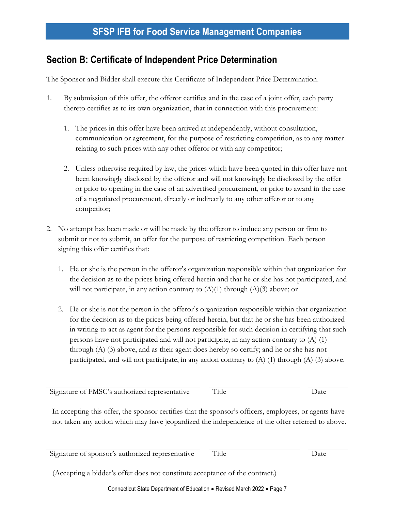### <span id="page-10-0"></span>**Section B: Certificate of Independent Price Determination**

The Sponsor and Bidder shall execute this Certificate of Independent Price Determination.

- 1. By submission of this offer, the offeror certifies and in the case of a joint offer, each party thereto certifies as to its own organization, that in connection with this procurement:
	- 1. The prices in this offer have been arrived at independently, without consultation, communication or agreement, for the purpose of restricting competition, as to any matter relating to such prices with any other offeror or with any competitor;
	- 2. Unless otherwise required by law, the prices which have been quoted in this offer have not been knowingly disclosed by the offeror and will not knowingly be disclosed by the offer or prior to opening in the case of an advertised procurement, or prior to award in the case of a negotiated procurement, directly or indirectly to any other offeror or to any competitor;
- 2. No attempt has been made or will be made by the offeror to induce any person or firm to submit or not to submit, an offer for the purpose of restricting competition. Each person signing this offer certifies that:
	- 1. He or she is the person in the offeror's organization responsible within that organization for the decision as to the prices being offered herein and that he or she has not participated, and will not participate, in any action contrary to  $(A)(1)$  through  $(A)(3)$  above; or
	- 2. He or she is not the person in the offeror's organization responsible within that organization for the decision as to the prices being offered herein, but that he or she has been authorized in writing to act as agent for the persons responsible for such decision in certifying that such persons have not participated and will not participate, in any action contrary to (A) (1) through (A) (3) above, and as their agent does hereby so certify; and he or she has not participated, and will not participate, in any action contrary to  $(A)$  (1) through  $(A)$  (3) above.

Signature of FMSC's authorized representative Title Date

In accepting this offer, the sponsor certifies that the sponsor's officers, employees, or agents have not taken any action which may have jeopardized the independence of the offer referred to above.

Signature of sponsor's authorized representative Title Date

(Accepting a bidder's offer does not constitute acceptance of the contract.)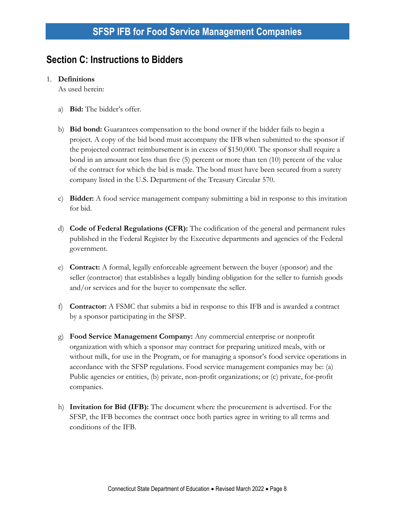### <span id="page-11-0"></span>**Section C: Instructions to Bidders**

#### 1. **Definitions**

As used herein:

- a) **Bid:** The bidder's offer.
- b) **Bid bond:** Guarantees compensation to the bond owner if the bidder fails to begin a project. A copy of the bid bond must accompany the IFB when submitted to the sponsor if the projected contract reimbursement is in excess of \$150,000. The sponsor shall require a bond in an amount not less than five (5) percent or more than ten (10) percent of the value of the contract for which the bid is made. The bond must have been secured from a surety company listed in the U.S. Department of the Treasury Circular 570.
- c) **Bidder:** A food service management company submitting a bid in response to this invitation for bid.
- d) **Code of Federal Regulations (CFR):** The codification of the general and permanent rules published in the Federal Register by the Executive departments and agencies of the Federal government.
- e) **Contract:** A formal, legally enforceable agreement between the buyer (sponsor) and the seller (contractor) that establishes a legally binding obligation for the seller to furnish goods and/or services and for the buyer to compensate the seller.
- f) **Contractor:** A FSMC that submits a bid in response to this IFB and is awarded a contract by a sponsor participating in the SFSP.
- g) **Food Service Management Company:** Any commercial enterprise or nonprofit organization with which a sponsor may contract for preparing unitized meals, with or without milk, for use in the Program, or for managing a sponsor's food service operations in accordance with the SFSP regulations. Food service management companies may be: (a) Public agencies or entities, (b) private, non-profit organizations; or (c) private, for-profit companies.
- h) **Invitation for Bid (IFB):** The document where the procurement is advertised. For the SFSP, the IFB becomes the contract once both parties agree in writing to all terms and conditions of the IFB.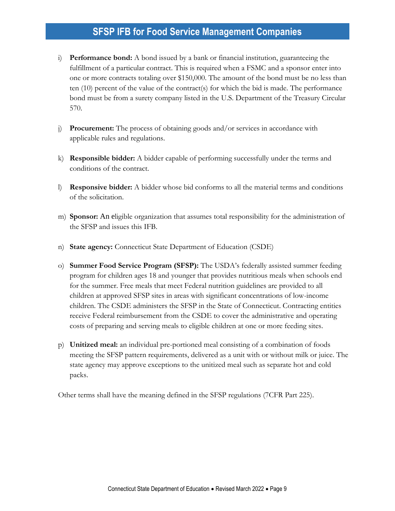- i) **Performance bond:** A bond issued by a bank or financial institution, guaranteeing the fulfillment of a particular contract. This is required when a FSMC and a sponsor enter into one or more contracts totaling over \$150,000. The amount of the bond must be no less than ten (10) percent of the value of the contract(s) for which the bid is made. The performance bond must be from a surety company listed in the U.S. Department of the Treasury Circular 570.
- j) **Procurement:** The process of obtaining goods and/or services in accordance with applicable rules and regulations.
- k) **Responsible bidder:** A bidder capable of performing successfully under the terms and conditions of the contract.
- l) **Responsive bidder:** A bidder whose bid conforms to all the material terms and conditions of the solicitation.
- m) **Sponsor:** An eligible organization that assumes total responsibility for the administration of the SFSP and issues this IFB.
- n) **State agency:** Connecticut State Department of Education (CSDE)
- o) **Summer Food Service Program (SFSP):** The USDA's federally assisted summer feeding program for children ages 18 and younger that provides nutritious meals when schools end for the summer. Free meals that meet Federal nutrition guidelines are provided to all children at approved SFSP sites in areas with significant concentrations of low-income children. The CSDE administers the SFSP in the State of Connecticut. Contracting entities receive Federal reimbursement from the CSDE to cover the administrative and operating costs of preparing and serving meals to eligible children at one or more feeding sites.
- p) **Unitized meal:** an individual pre-portioned meal consisting of a combination of foods meeting the SFSP pattern requirements, delivered as a unit with or without milk or juice. The state agency may approve exceptions to the unitized meal such as separate hot and cold packs.

Other terms shall have the meaning defined in the SFSP regulations (7CFR Part 225).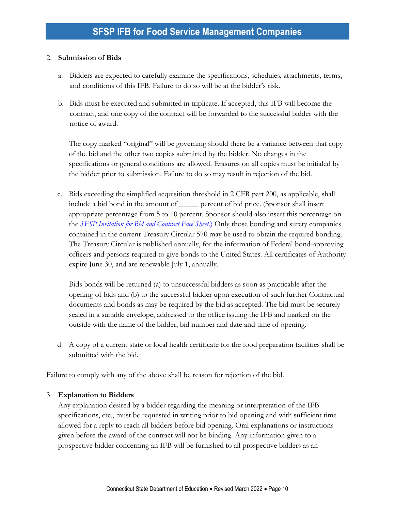#### 2. **Submission of Bids**

- a. Bidders are expected to carefully examine the specifications, schedules, attachments, terms, and conditions of this IFB. Failure to do so will be at the bidder's risk.
- b. Bids must be executed and submitted in triplicate. If accepted, this IFB will become the contract, and one copy of the contract will be forwarded to the successful bidder with the notice of award.

The copy marked "original" will be governing should there be a variance between that copy of the bid and the other two copies submitted by the bidder. No changes in the specifications or general conditions are allowed. Erasures on all copies must be initialed by the bidder prior to submission. Failure to do so may result in rejection of the bid.

c. Bids exceeding the simplified acquisition threshold in 2 CFR part 200, as applicable, shall include a bid bond in the amount of \_\_\_\_\_ percent of bid price. (Sponsor shall insert appropriate percentage from 5 to 10 percent. Sponsor should also insert this percentage on the *[SFSP Invitation for Bid and Contract Face Sheet](#page-9-0)*.) Only those bonding and surety companies contained in the current Treasury Circular 570 may be used to obtain the required bonding. The Treasury Circular is published annually, for the information of Federal bond-approving officers and persons required to give bonds to the United States. All certificates of Authority expire June 30, and are renewable July 1, annually.

Bids bonds will be returned (a) to unsuccessful bidders as soon as practicable after the opening of bids and (b) to the successful bidder upon execution of such further Contractual documents and bonds as may be required by the bid as accepted. The bid must be securely sealed in a suitable envelope, addressed to the office issuing the IFB and marked on the outside with the name of the bidder, bid number and date and time of opening.

d. A copy of a current state or local health certificate for the food preparation facilities shall be submitted with the bid.

Failure to comply with any of the above shall be reason for rejection of the bid.

#### 3. **Explanation to Bidders**

Any explanation desired by a bidder regarding the meaning or interpretation of the IFB specifications, etc., must be requested in writing prior to bid opening and with sufficient time allowed for a reply to reach all bidders before bid opening. Oral explanations or instructions given before the award of the contract will not be binding. Any information given to a prospective bidder concerning an IFB will be furnished to all prospective bidders as an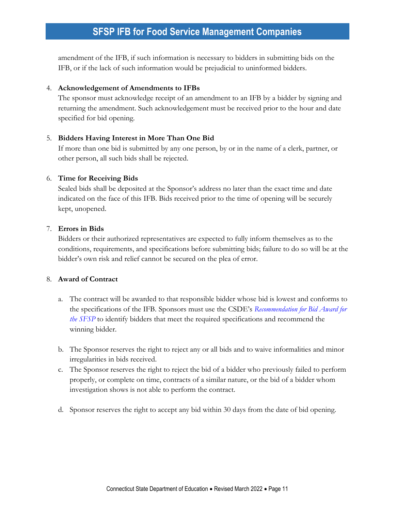amendment of the IFB, if such information is necessary to bidders in submitting bids on the IFB, or if the lack of such information would be prejudicial to uninformed bidders.

#### 4. **Acknowledgement of Amendments to IFBs**

The sponsor must acknowledge receipt of an amendment to an IFB by a bidder by signing and returning the amendment. Such acknowledgement must be received prior to the hour and date specified for bid opening.

#### 5. **Bidders Having Interest in More Than One Bid**

If more than one bid is submitted by any one person, by or in the name of a clerk, partner, or other person, all such bids shall be rejected.

#### 6. **Time for Receiving Bids**

Sealed bids shall be deposited at the Sponsor's address no later than the exact time and date indicated on the face of this IFB. Bids received prior to the time of opening will be securely kept, unopened.

#### 7. **Errors in Bids**

Bidders or their authorized representatives are expected to fully inform themselves as to the conditions, requirements, and specifications before submitting bids; failure to do so will be at the bidder's own risk and relief cannot be secured on the plea of error.

#### 8. **Award of Contract**

- a. The contract will be awarded to that responsible bidder whose bid is lowest and conforms to the specifications of the IFB. Sponsors must use the CSDE's *[Recommendation for Bid Award for](https://portal.ct.gov/-/media/SDE/Nutrition/FSMC/SFSP_Recommendation_Bid_Award.pdf)  [the SFSP](https://portal.ct.gov/-/media/SDE/Nutrition/FSMC/SFSP_Recommendation_Bid_Award.pdf)* to identify bidders that meet the required specifications and recommend the winning bidder.
- b. The Sponsor reserves the right to reject any or all bids and to waive informalities and minor irregularities in bids received.
- c. The Sponsor reserves the right to reject the bid of a bidder who previously failed to perform properly, or complete on time, contracts of a similar nature, or the bid of a bidder whom investigation shows is not able to perform the contract.
- d. Sponsor reserves the right to accept any bid within 30 days from the date of bid opening.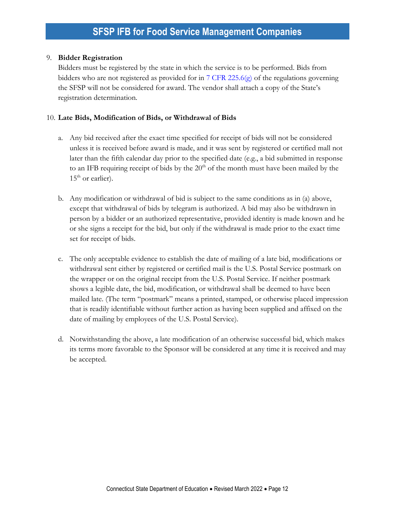#### 9. **Bidder Registration**

Bidders must be registered by the state in which the service is to be performed. Bids from bidders who are not registered as provided for in  $7 \text{ CFR}$  225.6(g) of the regulations governing the SFSP will not be considered for award. The vendor shall attach a copy of the State's registration determination.

#### 10. **Late Bids, Modification of Bids, or Withdrawal of Bids**

- a. Any bid received after the exact time specified for receipt of bids will not be considered unless it is received before award is made, and it was sent by registered or certified mall not later than the fifth calendar day prior to the specified date (e.g., a bid submitted in response to an IFB requiring receipt of bids by the  $20<sup>th</sup>$  of the month must have been mailed by the  $15<sup>th</sup>$  or earlier).
- b. Any modification or withdrawal of bid is subject to the same conditions as in (a) above, except that withdrawal of bids by telegram is authorized. A bid may also be withdrawn in person by a bidder or an authorized representative, provided identity is made known and he or she signs a receipt for the bid, but only if the withdrawal is made prior to the exact time set for receipt of bids.
- c. The only acceptable evidence to establish the date of mailing of a late bid, modifications or withdrawal sent either by registered or certified mail is the U.S. Postal Service postmark on the wrapper or on the original receipt from the U.S. Postal Service. If neither postmark shows a legible date, the bid, modification, or withdrawal shall be deemed to have been mailed late. (The term "postmark" means a printed, stamped, or otherwise placed impression that is readily identifiable without further action as having been supplied and affixed on the date of mailing by employees of the U.S. Postal Service).
- d. Notwithstanding the above, a late modification of an otherwise successful bid, which makes its terms more favorable to the Sponsor will be considered at any time it is received and may be accepted.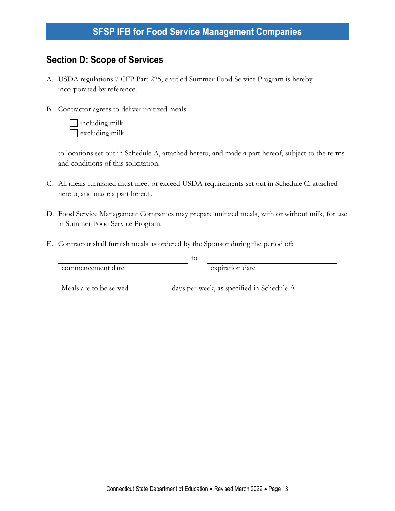### <span id="page-16-0"></span>**Section D: Scope of Services**

- A. USDA regulations 7 CFP Part 225, entitled Summer Food Service Program is hereby incorporated by reference.
- B. Contractor agrees to deliver unitized meals



to locations set out in Schedule A, attached hereto, and made a part hereof, subject to the terms and conditions of this solicitation.

- C. All meals furnished must meet or exceed USDA requirements set out in Schedule C, attached hereto, and made a part hereof.
- D. Food Service Management Companies may prepare unitized meals, with or without milk, for use in Summer Food Service Program.
- E. Contractor shall furnish meals as ordered by the Sponsor during the period of:

|                        | LO.                                        |
|------------------------|--------------------------------------------|
| commencement date      | expiration date                            |
|                        |                                            |
| Meals are to be served | days per week, as specified in Schedule A. |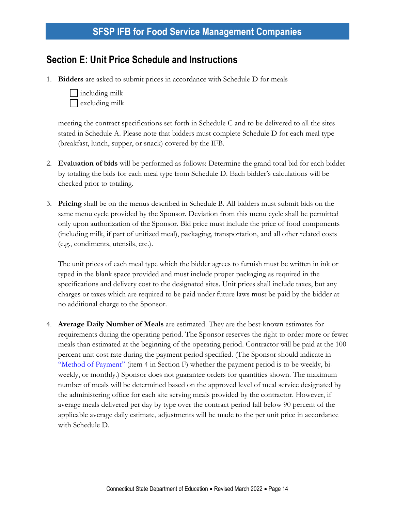### <span id="page-17-0"></span>**Section E: Unit Price Schedule and Instructions**

1. **Bidders** are asked to submit prices in accordance with Schedule D for meals

| $\Box$ including milk |
|-----------------------|
| $\Box$ excluding milk |

meeting the contract specifications set forth in Schedule C and to be delivered to all the sites stated in Schedule A. Please note that bidders must complete Schedule D for each meal type (breakfast, lunch, supper, or snack) covered by the IFB.

- 2. **Evaluation of bids** will be performed as follows: Determine the grand total bid for each bidder by totaling the bids for each meal type from Schedule D. Each bidder's calculations will be checked prior to totaling.
- 3. **Pricing** shall be on the menus described in Schedule B. All bidders must submit bids on the same menu cycle provided by the Sponsor. Deviation from this menu cycle shall be permitted only upon authorization of the Sponsor. Bid price must include the price of food components (including milk, if part of unitized meal), packaging, transportation, and all other related costs (e.g., condiments, utensils, etc.).

The unit prices of each meal type which the bidder agrees to furnish must be written in ink or typed in the blank space provided and must include proper packaging as required in the specifications and delivery cost to the designated sites. Unit prices shall include taxes, but any charges or taxes which are required to be paid under future laws must be paid by the bidder at no additional charge to the Sponsor.

4. **Average Daily Number of Meals** are estimated. They are the best-known estimates for requirements during the operating period. The Sponsor reserves the right to order more or fewer meals than estimated at the beginning of the operating period. Contractor will be paid at the 100 percent unit cost rate during the payment period specified. (The Sponsor should indicate in ["Method of Payment"](#page-22-0) (item 4 in Section F) whether the payment period is to be weekly, biweekly, or monthly.) Sponsor does not guarantee orders for quantities shown. The maximum number of meals will be determined based on the approved level of meal service designated by the administering office for each site serving meals provided by the contractor. However, if average meals delivered per day by type over the contract period fall below 90 percent of the applicable average daily estimate, adjustments will be made to the per unit price in accordance with Schedule D.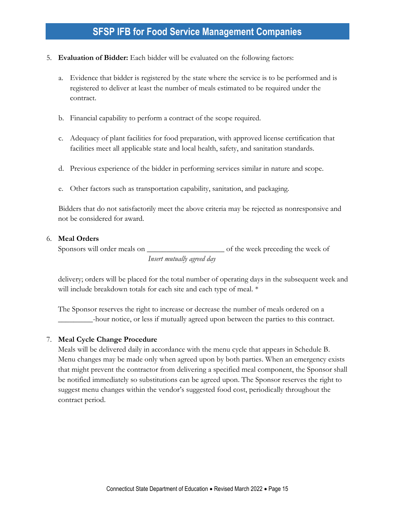- 5. **Evaluation of Bidder:** Each bidder will be evaluated on the following factors:
	- a. Evidence that bidder is registered by the state where the service is to be performed and is registered to deliver at least the number of meals estimated to be required under the contract.
	- b. Financial capability to perform a contract of the scope required.
	- c. Adequacy of plant facilities for food preparation, with approved license certification that facilities meet all applicable state and local health, safety, and sanitation standards.
	- d. Previous experience of the bidder in performing services similar in nature and scope.
	- e. Other factors such as transportation capability, sanitation, and packaging.

Bidders that do not satisfactorily meet the above criteria may be rejected as nonresponsive and not be considered for award.

#### 6. **Meal Orders**

Sponsors will order meals on \_\_\_\_\_\_\_\_\_\_\_\_\_\_\_\_\_\_\_\_ of the week preceding the week of *Insert mutually agreed day*

delivery; orders will be placed for the total number of operating days in the subsequent week and will include breakdown totals for each site and each type of meal.  $*$ 

The Sponsor reserves the right to increase or decrease the number of meals ordered on a \_\_\_\_\_\_\_\_\_-hour notice, or less if mutually agreed upon between the parties to this contract.

#### 7. **Meal Cycle Change Procedure**

Meals will be delivered daily in accordance with the menu cycle that appears in Schedule B. Menu changes may be made only when agreed upon by both parties. When an emergency exists that might prevent the contractor from delivering a specified meal component, the Sponsor shall be notified immediately so substitutions can be agreed upon. The Sponsor reserves the right to suggest menu changes within the vendor's suggested food cost, periodically throughout the contract period.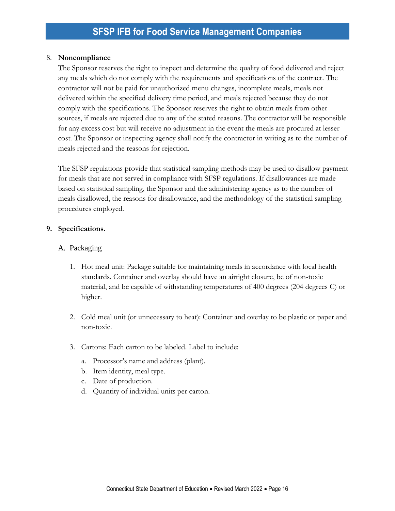#### 8. **Noncompliance**

The Sponsor reserves the right to inspect and determine the quality of food delivered and reject any meals which do not comply with the requirements and specifications of the contract. The contractor will not be paid for unauthorized menu changes, incomplete meals, meals not delivered within the specified delivery time period, and meals rejected because they do not comply with the specifications. The Sponsor reserves the right to obtain meals from other sources, if meals are rejected due to any of the stated reasons. The contractor will be responsible for any excess cost but will receive no adjustment in the event the meals are procured at lesser cost. The Sponsor or inspecting agency shall notify the contractor in writing as to the number of meals rejected and the reasons for rejection.

The SFSP regulations provide that statistical sampling methods may be used to disallow payment for meals that are not served in compliance with SFSP regulations. If disallowances are made based on statistical sampling, the Sponsor and the administering agency as to the number of meals disallowed, the reasons for disallowance, and the methodology of the statistical sampling procedures employed.

#### **9. Specifications.**

#### A. Packaging

- 1. Hot meal unit: Package suitable for maintaining meals in accordance with local health standards. Container and overlay should have an airtight closure, be of non-toxic material, and be capable of withstanding temperatures of 400 degrees (204 degrees C) or higher.
- 2. Cold meal unit (or unnecessary to heat): Container and overlay to be plastic or paper and non-toxic.
- 3. Cartons: Each carton to be labeled. Label to include:
	- a. Processor's name and address (plant).
	- b. Item identity, meal type.
	- c. Date of production.
	- d. Quantity of individual units per carton.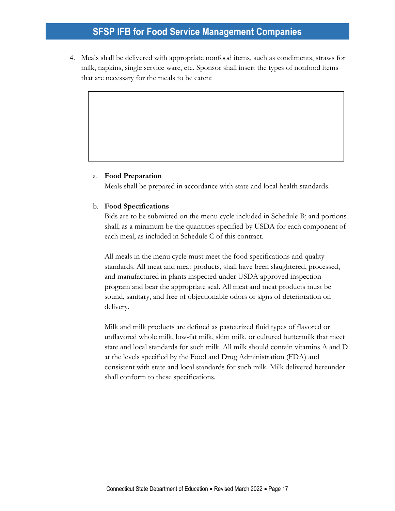4. Meals shall be delivered with appropriate nonfood items, such as condiments, straws for milk, napkins, single service ware, etc. Sponsor shall insert the types of nonfood items that are necessary for the meals to be eaten:

#### a. **Food Preparation**

Meals shall be prepared in accordance with state and local health standards.

#### b. **Food Specifications**

Bids are to be submitted on the menu cycle included in Schedule B; and portions shall, as a minimum be the quantities specified by USDA for each component of each meal, as included in Schedule C of this contract.

All meals in the menu cycle must meet the food specifications and quality standards. All meat and meat products, shall have been slaughtered, processed, and manufactured in plants inspected under USDA approved inspection program and bear the appropriate seal. All meat and meat products must be sound, sanitary, and free of objectionable odors or signs of deterioration on delivery.

Milk and milk products are defined as pasteurized fluid types of flavored or unflavored whole milk, low-fat milk, skim milk, or cultured buttermilk that meet state and local standards for such milk. All milk should contain vitamins A and D at the levels specified by the Food and Drug Administration (FDA) and consistent with state and local standards for such milk. Milk delivered hereunder shall conform to these specifications.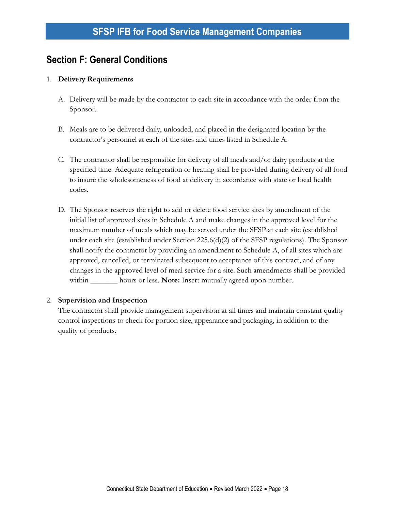### <span id="page-21-0"></span>**Section F: General Conditions**

#### 1. **Delivery Requirements**

- A. Delivery will be made by the contractor to each site in accordance with the order from the Sponsor.
- B. Meals are to be delivered daily, unloaded, and placed in the designated location by the contractor's personnel at each of the sites and times listed in Schedule A.
- C. The contractor shall be responsible for delivery of all meals and/or dairy products at the specified time. Adequate refrigeration or heating shall be provided during delivery of all food to insure the wholesomeness of food at delivery in accordance with state or local health codes.
- D. The Sponsor reserves the right to add or delete food service sites by amendment of the initial list of approved sites in Schedule A and make changes in the approved level for the maximum number of meals which may be served under the SFSP at each site (established under each site (established under Section 225.6(d)(2) of the SFSP regulations). The Sponsor shall notify the contractor by providing an amendment to Schedule A, of all sites which are approved, cancelled, or terminated subsequent to acceptance of this contract, and of any changes in the approved level of meal service for a site. Such amendments shall be provided within \_\_\_\_\_\_\_\_ hours or less. **Note:** Insert mutually agreed upon number.

#### 2. **Supervision and Inspection**

The contractor shall provide management supervision at all times and maintain constant quality control inspections to check for portion size, appearance and packaging, in addition to the quality of products.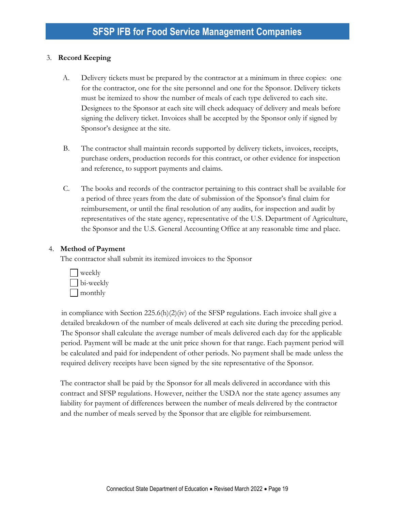#### 3. **Record Keeping**

- A. Delivery tickets must be prepared by the contractor at a minimum in three copies: one for the contractor, one for the site personnel and one for the Sponsor. Delivery tickets must be itemized to show the number of meals of each type delivered to each site. Designees to the Sponsor at each site will check adequacy of delivery and meals before signing the delivery ticket. Invoices shall be accepted by the Sponsor only if signed by Sponsor's designee at the site.
- B. The contractor shall maintain records supported by delivery tickets, invoices, receipts, purchase orders, production records for this contract, or other evidence for inspection and reference, to support payments and claims.
- C. The books and records of the contractor pertaining to this contract shall be available for a period of three years from the date of submission of the Sponsor's final claim for reimbursement, or until the final resolution of any audits, for inspection and audit by representatives of the state agency, representative of the U.S. Department of Agriculture, the Sponsor and the U.S. General Accounting Office at any reasonable time and place.

#### <span id="page-22-0"></span>4. **Method of Payment**

The contractor shall submit its itemized invoices to the Sponsor



in compliance with Section  $225.6(h)(2)(iv)$  of the SFSP regulations. Each invoice shall give a detailed breakdown of the number of meals delivered at each site during the preceding period. The Sponsor shall calculate the average number of meals delivered each day for the applicable period. Payment will be made at the unit price shown for that range. Each payment period will be calculated and paid for independent of other periods. No payment shall be made unless the required delivery receipts have been signed by the site representative of the Sponsor.

The contractor shall be paid by the Sponsor for all meals delivered in accordance with this contract and SFSP regulations. However, neither the USDA nor the state agency assumes any liability for payment of differences between the number of meals delivered by the contractor and the number of meals served by the Sponsor that are eligible for reimbursement.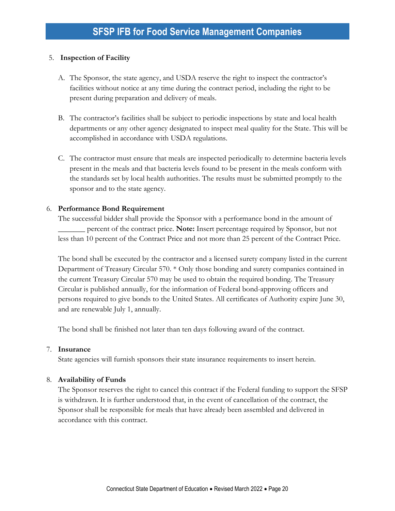#### 5. **Inspection of Facility**

- A. The Sponsor, the state agency, and USDA reserve the right to inspect the contractor's facilities without notice at any time during the contract period, including the right to be present during preparation and delivery of meals.
- B. The contractor's facilities shall be subject to periodic inspections by state and local health departments or any other agency designated to inspect meal quality for the State. This will be accomplished in accordance with USDA regulations.
- C. The contractor must ensure that meals are inspected periodically to determine bacteria levels present in the meals and that bacteria levels found to be present in the meals conform with the standards set by local health authorities. The results must be submitted promptly to the sponsor and to the state agency.

#### 6. **Performance Bond Requirement**

The successful bidder shall provide the Sponsor with a performance bond in the amount of \_\_\_\_\_\_\_ percent of the contract price. **Note:** Insert percentage required by Sponsor, but not less than 10 percent of the Contract Price and not more than 25 percent of the Contract Price.

The bond shall be executed by the contractor and a licensed surety company listed in the current Department of Treasury Circular 570. \* Only those bonding and surety companies contained in the current Treasury Circular 570 may be used to obtain the required bonding. The Treasury Circular is published annually, for the information of Federal bond-approving officers and persons required to give bonds to the United States. All certificates of Authority expire June 30, and are renewable July 1, annually.

The bond shall be finished not later than ten days following award of the contract.

#### 7. **Insurance**

State agencies will furnish sponsors their state insurance requirements to insert herein.

#### 8. **Availability of Funds**

The Sponsor reserves the right to cancel this contract if the Federal funding to support the SFSP is withdrawn. It is further understood that, in the event of cancellation of the contract, the Sponsor shall be responsible for meals that have already been assembled and delivered in accordance with this contract.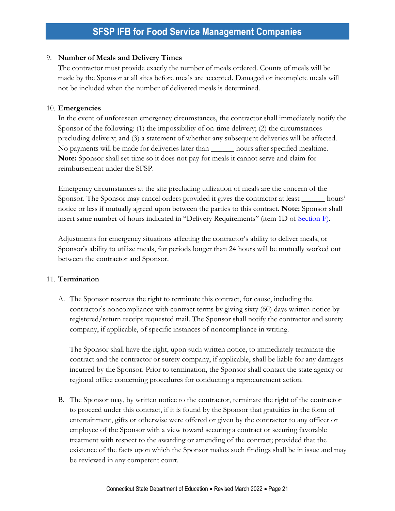#### 9. **Number of Meals and Delivery Times**

The contractor must provide exactly the number of meals ordered. Counts of meals will be made by the Sponsor at all sites before meals are accepted. Damaged or incomplete meals will not be included when the number of delivered meals is determined.

#### 10. **Emergencies**

In the event of unforeseen emergency circumstances, the contractor shall immediately notify the Sponsor of the following: (1) the impossibility of on-time delivery; (2) the circumstances precluding delivery; and (3) a statement of whether any subsequent deliveries will be affected. No payments will be made for deliveries later than \_\_\_\_\_\_ hours after specified mealtime. **Note:** Sponsor shall set time so it does not pay for meals it cannot serve and claim for reimbursement under the SFSP.

Emergency circumstances at the site precluding utilization of meals are the concern of the Sponsor. The Sponsor may cancel orders provided it gives the contractor at least \_\_\_\_\_\_ hours' notice or less if mutually agreed upon between the parties to this contract. **Note:** Sponsor shall insert same number of hours indicated in "Delivery Requirements" (item 1D of [Section F\)](#page-21-0).

Adjustments for emergency situations affecting the contractor's ability to deliver meals, or Sponsor's ability to utilize meals, for periods longer than 24 hours will be mutually worked out between the contractor and Sponsor.

#### 11. **Termination**

A. The Sponsor reserves the right to terminate this contract, for cause, including the contractor's noncompliance with contract terms by giving sixty (60) days written notice by registered/return receipt requested mail. The Sponsor shall notify the contractor and surety company, if applicable, of specific instances of noncompliance in writing.

The Sponsor shall have the right, upon such written notice, to immediately terminate the contract and the contractor or surety company, if applicable, shall be liable for any damages incurred by the Sponsor. Prior to termination, the Sponsor shall contact the state agency or regional office concerning procedures for conducting a reprocurement action.

B. The Sponsor may, by written notice to the contractor, terminate the right of the contractor to proceed under this contract, if it is found by the Sponsor that gratuities in the form of entertainment, gifts or otherwise were offered or given by the contractor to any officer or employee of the Sponsor with a view toward securing a contract or securing favorable treatment with respect to the awarding or amending of the contract; provided that the existence of the facts upon which the Sponsor makes such findings shall be in issue and may be reviewed in any competent court.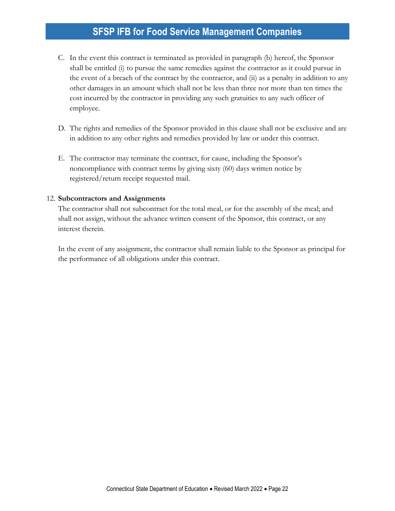- C. In the event this contract is terminated as provided in paragraph (b) hereof, the Sponsor shall be entitled (i) to pursue the same remedies against the contractor as it could pursue in the event of a breach of the contract by the contractor, and (ii) as a penalty in addition to any other damages in an amount which shall not be less than three nor more than ten times the cost incurred by the contractor in providing any such gratuities to any such officer of employee.
- D. The rights and remedies of the Sponsor provided in this clause shall not be exclusive and are in addition to any other rights and remedies provided by law or under this contract.
- E. The contractor may terminate the contract, for cause, including the Sponsor's noncompliance with contract terms by giving sixty (60) days written notice by registered/return receipt requested mail.

#### 12. **Subcontractors and Assignments**

The contractor shall not subcontract for the total meal, or for the assembly of the meal; and shall not assign, without the advance written consent of the Sponsor, this contract, or any interest therein.

In the event of any assignment, the contractor shall remain liable to the Sponsor as principal for the performance of all obligations under this contract.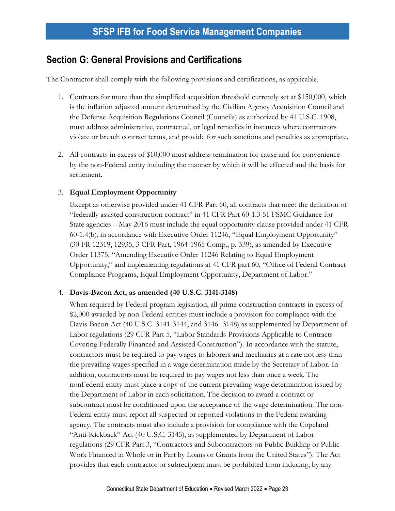### <span id="page-26-0"></span>**Section G: General Provisions and Certifications**

The Contractor shall comply with the following provisions and certifications, as applicable.

- 1. Contracts for more than the simplified acquisition threshold currently set at \$150,000, which is the inflation adjusted amount determined by the Civilian Agency Acquisition Council and the Defense Acquisition Regulations Council (Councils) as authorized by 41 U.S.C. 1908, must address administrative, contractual, or legal remedies in instances where contractors violate or breach contract terms, and provide for such sanctions and penalties as appropriate.
- 2. All contracts in excess of \$10,000 must address termination for cause and for convenience by the non-Federal entity including the manner by which it will be effected and the basis for settlement.

#### 3. **Equal Employment Opportunity**

Except as otherwise provided under 41 CFR Part 60, all contracts that meet the definition of "federally assisted construction contract" in 41 CFR Part 60-1.3 51 FSMC Guidance for State agencies – May 2016 must include the equal opportunity clause provided under 41 CFR 60-1.4(b), in accordance with Executive Order 11246, "Equal Employment Opportunity" (30 FR 12319, 12935, 3 CFR Part, 1964-1965 Comp., p. 339), as amended by Executive Order 11375, "Amending Executive Order 11246 Relating to Equal Employment Opportunity," and implementing regulations at 41 CFR part 60, "Office of Federal Contract Compliance Programs, Equal Employment Opportunity, Department of Labor."

#### 4. **Davis-Bacon Act, as amended (40 U.S.C. 3141-3148)**

When required by Federal program legislation, all prime construction contracts in excess of \$2,000 awarded by non-Federal entities must include a provision for compliance with the Davis-Bacon Act (40 U.S.C. 3141-3144, and 3146- 3148) as supplemented by Department of Labor regulations (29 CFR Part 5, "Labor Standards Provisions Applicable to Contracts Covering Federally Financed and Assisted Construction"). In accordance with the statute, contractors must be required to pay wages to laborers and mechanics at a rate not less than the prevailing wages specified in a wage determination made by the Secretary of Labor. In addition, contractors must be required to pay wages not less than once a week. The nonFederal entity must place a copy of the current prevailing wage determination issued by the Department of Labor in each solicitation. The decision to award a contract or subcontract must be conditioned upon the acceptance of the wage determination. The non-Federal entity must report all suspected or reported violations to the Federal awarding agency. The contracts must also include a provision for compliance with the Copeland "Anti-Kickback" Act (40 U.S.C. 3145), as supplemented by Department of Labor regulations (29 CFR Part 3, "Contractors and Subcontractors on Public Building or Public Work Financed in Whole or in Part by Loans or Grants from the United States"). The Act provides that each contractor or subrecipient must be prohibited from inducing, by any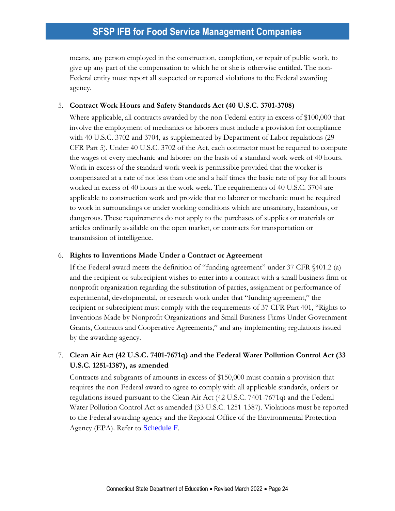means, any person employed in the construction, completion, or repair of public work, to give up any part of the compensation to which he or she is otherwise entitled. The non-Federal entity must report all suspected or reported violations to the Federal awarding agency.

#### 5. **Contract Work Hours and Safety Standards Act (40 U.S.C. 3701-3708)**

Where applicable, all contracts awarded by the non-Federal entity in excess of \$100,000 that involve the employment of mechanics or laborers must include a provision for compliance with 40 U.S.C. 3702 and 3704, as supplemented by Department of Labor regulations (29 CFR Part 5). Under 40 U.S.C. 3702 of the Act, each contractor must be required to compute the wages of every mechanic and laborer on the basis of a standard work week of 40 hours. Work in excess of the standard work week is permissible provided that the worker is compensated at a rate of not less than one and a half times the basic rate of pay for all hours worked in excess of 40 hours in the work week. The requirements of 40 U.S.C. 3704 are applicable to construction work and provide that no laborer or mechanic must be required to work in surroundings or under working conditions which are unsanitary, hazardous, or dangerous. These requirements do not apply to the purchases of supplies or materials or articles ordinarily available on the open market, or contracts for transportation or transmission of intelligence.

#### 6. **Rights to Inventions Made Under a Contract or Agreement**

If the Federal award meets the definition of "funding agreement" under 37 CFR §401.2 (a) and the recipient or subrecipient wishes to enter into a contract with a small business firm or nonprofit organization regarding the substitution of parties, assignment or performance of experimental, developmental, or research work under that "funding agreement," the recipient or subrecipient must comply with the requirements of 37 CFR Part 401, "Rights to Inventions Made by Nonprofit Organizations and Small Business Firms Under Government Grants, Contracts and Cooperative Agreements," and any implementing regulations issued by the awarding agency.

#### 7. **Clean Air Act (42 U.S.C. 7401-7671q) and the Federal Water Pollution Control Act (33 U.S.C. 1251-1387), as amended**

Contracts and subgrants of amounts in excess of \$150,000 must contain a provision that requires the non-Federal award to agree to comply with all applicable standards, orders or regulations issued pursuant to the Clean Air Act (42 U.S.C. 7401-7671q) and the Federal Water Pollution Control Act as amended (33 U.S.C. 1251-1387). Violations must be reported to the Federal awarding agency and the Regional Office of the Environmental Protection Agency (EPA). Refer to [Schedule F](#page-40-0).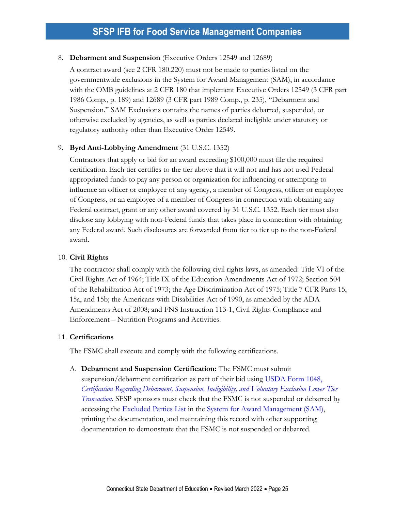#### 8. **Debarment and Suspension** (Executive Orders 12549 and 12689)

A contract award (see 2 CFR 180.220) must not be made to parties listed on the governmentwide exclusions in the System for Award Management (SAM), in accordance with the OMB guidelines at 2 CFR 180 that implement Executive Orders 12549 (3 CFR part 1986 Comp., p. 189) and 12689 (3 CFR part 1989 Comp., p. 235), "Debarment and Suspension." SAM Exclusions contains the names of parties debarred, suspended, or otherwise excluded by agencies, as well as parties declared ineligible under statutory or regulatory authority other than Executive Order 12549.

#### 9. **Byrd Anti-Lobbying Amendment** (31 U.S.C. 1352)

Contractors that apply or bid for an award exceeding \$100,000 must file the required certification. Each tier certifies to the tier above that it will not and has not used Federal appropriated funds to pay any person or organization for influencing or attempting to influence an officer or employee of any agency, a member of Congress, officer or employee of Congress, or an employee of a member of Congress in connection with obtaining any Federal contract, grant or any other award covered by 31 U.S.C. 1352. Each tier must also disclose any lobbying with non-Federal funds that takes place in connection with obtaining any Federal award. Such disclosures are forwarded from tier to tier up to the non-Federal award.

#### 10. **Civil Rights**

The contractor shall comply with the following civil rights laws, as amended: Title VI of the Civil Rights Act of 1964; Title IX of the Education Amendments Act of 1972; Section 504 of the Rehabilitation Act of 1973; the Age Discrimination Act of 1975; Title 7 CFR Parts 15, 15a, and 15b; the Americans with Disabilities Act of 1990, as amended by the ADA Amendments Act of 2008; and FNS Instruction 113-1, Civil Rights Compliance and Enforcement – Nutrition Programs and Activities.

#### 11. **Certifications**

The FSMC shall execute and comply with the following certifications.

A. **Debarment and Suspension Certification:** The FSMC must submit

suspension/debarment certification as part of their bid using [USDA Form 1048,](https://omb.report/icr/201906-0572-002/doc/95570401)  *[Certification Regarding Debarment, Suspension, Ineligibility, and Voluntary Exclusion Lower Tier](https://omb.report/icr/201906-0572-002/doc/95570401)  [Transaction](https://omb.report/icr/201906-0572-002/doc/95570401)*. SFSP sponsors must check that the FSMC is not suspended or debarred by accessing the [Excluded Parties List](https://sam.gov/content/exclusions) in the [System for Award Management \(SAM\),](https://sam.gov/content/home) printing the documentation, and maintaining this record with other supporting documentation to demonstrate that the FSMC is not suspended or debarred.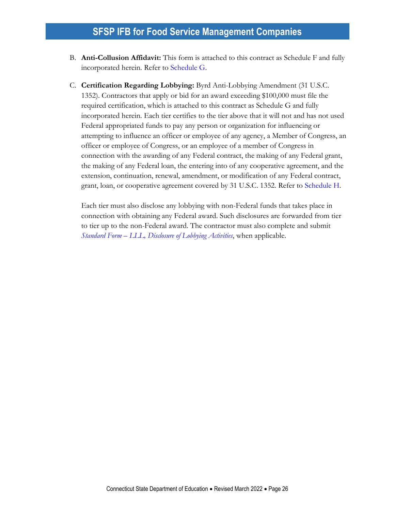- B. **Anti-Collusion Affidavit:** This form is attached to this contract as Schedule F and fully incorporated herein. Refer to [Schedule G.](#page-42-0)
- C. **Certification Regarding Lobbying:** Byrd Anti-Lobbying Amendment (31 U.S.C. 1352). Contractors that apply or bid for an award exceeding \$100,000 must file the required certification, which is attached to this contract as Schedule G and fully incorporated herein. Each tier certifies to the tier above that it will not and has not used Federal appropriated funds to pay any person or organization for influencing or attempting to influence an officer or employee of any agency, a Member of Congress, an officer or employee of Congress, or an employee of a member of Congress in connection with the awarding of any Federal contract, the making of any Federal grant, the making of any Federal loan, the entering into of any cooperative agreement, and the extension, continuation, renewal, amendment, or modification of any Federal contract, grant, loan, or cooperative agreement covered by 31 U.S.C. 1352. Refer to [Schedule H.](#page-43-0)

Each tier must also disclose any lobbying with non-Federal funds that takes place in connection with obtaining any Federal award. Such disclosures are forwarded from tier to tier up to the non-Federal award. The contractor must also complete and submit *Standard Form – [LLL, Disclosure of Lobbying Activities](https://forms.sc.egov.usda.gov/efcommon/eFileServices/eFormsAdmin/SF-LLL_9707V01.pdf)*, when applicable.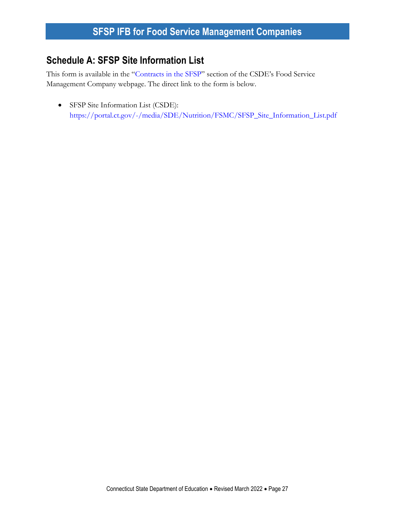### <span id="page-30-0"></span>**Schedule A: SFSP Site Information List**

This form is available in the "[Contracts in the SFSP](https://portal.ct.gov/SDE/Nutrition/Food-Service-Management-Company#ContractsSFSP)" section of the CSDE's Food Service Management Company webpage. The direct link to the form is below.

• SFSP Site Information List (CSDE): [https://portal.ct.gov/-/media/SDE/Nutrition/FSMC/SFSP\\_Site\\_Information\\_List.pdf](https://portal.ct.gov/-/media/SDE/Nutrition/FSMC/SFSP_Site_Information_List.pdf)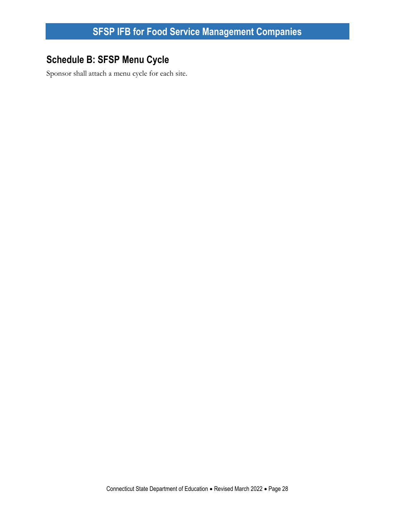# <span id="page-31-0"></span>**Schedule B: SFSP Menu Cycle**

Sponsor shall attach a menu cycle for each site.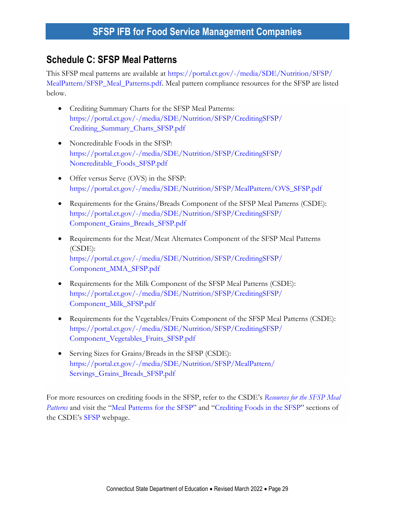### <span id="page-32-0"></span>**Schedule C: SFSP Meal Patterns**

This SFSP meal patterns are available at [https://portal.ct.gov/-/media/SDE/Nutrition/SFSP/](https://portal.ct.gov/-/media/SDE/Nutrition/SFSP/MealPattern/SFSP_Meal_Patterns.pdf) [MealPattern/SFSP\\_Meal\\_Patterns.pdf.](https://portal.ct.gov/-/media/SDE/Nutrition/SFSP/MealPattern/SFSP_Meal_Patterns.pdf) Meal pattern compliance resources for the SFSP are listed below.

- Crediting Summary Charts for the SFSP Meal Patterns: [https://portal.ct.gov/-/media/SDE/Nutrition/SFSP/CreditingSFSP/](https://portal.ct.gov/-/media/SDE/Nutrition/SFSP/CreditingSFSP/Crediting_Summary_Charts_SFSP.pdf) [Crediting\\_Summary\\_Charts\\_SFSP.pdf](https://portal.ct.gov/-/media/SDE/Nutrition/SFSP/CreditingSFSP/Crediting_Summary_Charts_SFSP.pdf)
- Noncreditable Foods in the SFSP: [https://portal.ct.gov/-/media/SDE/Nutrition/SFSP/CreditingSFSP/](https://portal.ct.gov/-/media/SDE/Nutrition/SFSP/CreditingSFSP/Noncreditable_Foods_SFSP.pdf) [Noncreditable\\_Foods\\_SFSP.pdf](https://portal.ct.gov/-/media/SDE/Nutrition/SFSP/CreditingSFSP/Noncreditable_Foods_SFSP.pdf)
- Offer versus Serve (OVS) in the SFSP: [https://portal.ct.gov/-/media/SDE/Nutrition/SFSP/MealPattern/OVS\\_SFSP.pdf](https://portal.ct.gov/-/media/SDE/Nutrition/SFSP/MealPattern/OVS_SFSP.pdf)
- Requirements for the Grains/Breads Component of the SFSP Meal Patterns (CSDE): [https://portal.ct.gov/-/media/SDE/Nutrition/SFSP/CreditingSFSP/](https://portal.ct.gov/-/media/SDE/Nutrition/SFSP/CreditingSFSP/Component_Grains_Breads_SFSP.pdf) [Component\\_Grains\\_Breads\\_SFSP.pdf](https://portal.ct.gov/-/media/SDE/Nutrition/SFSP/CreditingSFSP/Component_Grains_Breads_SFSP.pdf)
- Requirements for the Meat/Meat Alternates Component of the SFSP Meal Patterns (CSDE): [https://portal.ct.gov/-/media/SDE/Nutrition/SFSP/CreditingSFSP/](https://portal.ct.gov/-/media/SDE/Nutrition/SFSP/CreditingSFSP/Component_MMA_SFSP.pdf) [Component\\_MMA\\_SFSP.pdf](https://portal.ct.gov/-/media/SDE/Nutrition/SFSP/CreditingSFSP/Component_MMA_SFSP.pdf)
- Requirements for the Milk Component of the SFSP Meal Patterns (CSDE): [https://portal.ct.gov/-/media/SDE/Nutrition/SFSP/CreditingSFSP/](https://portal.ct.gov/-/media/SDE/Nutrition/SFSP/CreditingSFSP/Component_Milk_SFSP.pdf) [Component\\_Milk\\_SFSP.pdf](https://portal.ct.gov/-/media/SDE/Nutrition/SFSP/CreditingSFSP/Component_Milk_SFSP.pdf)
- Requirements for the Vegetables/Fruits Component of the SFSP Meal Patterns (CSDE): [https://portal.ct.gov/-/media/SDE/Nutrition/SFSP/CreditingSFSP/](https://portal.ct.gov/-/media/SDE/Nutrition/SFSP/CreditingSFSP/Component_Vegetables_Fruits_SFSP.pdf) [Component\\_Vegetables\\_Fruits\\_SFSP.pdf](https://portal.ct.gov/-/media/SDE/Nutrition/SFSP/CreditingSFSP/Component_Vegetables_Fruits_SFSP.pdf)
- Serving Sizes for Grains/Breads in the SFSP (CSDE): [https://portal.ct.gov/-/media/SDE/Nutrition/SFSP/MealPattern/](https://portal.ct.gov/-/media/SDE/Nutrition/SFSP/MealPattern/Servings_Grains_Breads_SFSP.pdf) [Servings\\_Grains\\_Breads\\_SFSP.pdf](https://portal.ct.gov/-/media/SDE/Nutrition/SFSP/MealPattern/Servings_Grains_Breads_SFSP.pdf)

For more resources on crediting foods in the SFSP, refer to the CSDE's *[Resources for the SFSP Meal](https://portal.ct.gov/-/media/SDE/Nutrition/SFSP/MealPattern/Resources_SFSP_Meal_Patterns.pdf)  [Patterns](https://portal.ct.gov/-/media/SDE/Nutrition/SFSP/MealPattern/Resources_SFSP_Meal_Patterns.pdf)* and visit the "[Meal Patterns for the SFSP](https://portal.ct.gov/SDE/Nutrition/Summer-Food-Service-Program#MealPatterns)" and "[Crediting Foods in the SFSP](https://portal.ct.gov/SDE/Nutrition/Summer-Food-Service-Program/Documents)" sections of the CSDE's [SFSP](https://portal.ct.gov/SDE/Nutrition/Summer-Food-Service-Program/Documents) webpage.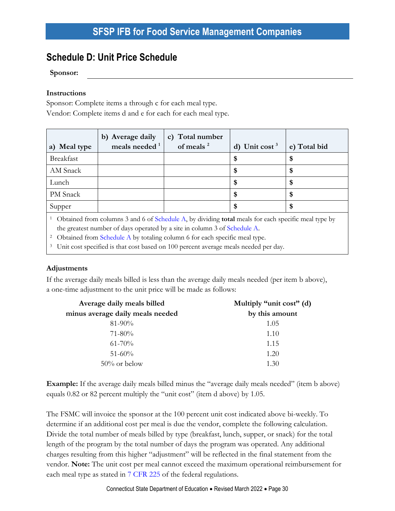### <span id="page-33-0"></span>**Schedule D: Unit Price Schedule**

#### **Sponsor:**

#### **Instructions**

Sponsor: Complete items a through c for each meal type. Vendor: Complete items d and e for each for each meal type.

| a) Meal type     | b) Average daily<br>meals needed $1$ | c) Total number<br>of meals <sup>2</sup> | d) Unit cost $3$ | e) Total bid |
|------------------|--------------------------------------|------------------------------------------|------------------|--------------|
| <b>Breakfast</b> |                                      |                                          | \$               | \$           |
| AM Snack         |                                      |                                          | \$               | \$           |
| Lunch            |                                      |                                          | S                | \$           |
| PM Snack         |                                      |                                          | \$               | \$           |
| Supper           |                                      |                                          | \$               | \$           |

<sup>1</sup> Obtained from columns 3 and 6 of Schedule A, by dividing **total** meals for each specific meal type by the greatest number of days operated by a site in column 3 of Schedule A.

<sup>2</sup> Obtained from Schedule A by totaling column 6 for each specific meal type.

<sup>3</sup> Unit cost specified is that cost based on 100 percent average meals needed per day.

#### **Adjustments**

If the average daily meals billed is less than the average daily meals needed (per item b above), a one-time adjustment to the unit price will be made as follows:

| Average daily meals billed       | Multiply "unit cost" (d) |
|----------------------------------|--------------------------|
| minus average daily meals needed | by this amount           |
| $81 - 90\%$                      | 1.05                     |
| $71 - 80\%$                      | 1.10                     |
| $61 - 70\%$                      | 1.15                     |
| $51 - 60\%$                      | 1.20                     |
| $50\%$ or below                  | 1.30                     |
|                                  |                          |

**Example:** If the average daily meals billed minus the "average daily meals needed" (item b above) equals 0.82 or 82 percent multiply the "unit cost" (item d above) by 1.05.

The FSMC will invoice the sponsor at the 100 percent unit cost indicated above bi-weekly. To determine if an additional cost per meal is due the vendor, complete the following calculation. Divide the total number of meals billed by type (breakfast, lunch, supper, or snack) for the total length of the program by the total number of days the program was operated. Any additional charges resulting from this higher "adjustment" will be reflected in the final statement from the vendor. **Note:** The unit cost per meal cannot exceed the maximum operational reimbursement for each meal type as stated in [7 CFR 225](https://www.ecfr.gov/current/title-7/subtitle-B/chapter-II/subchapter-A/part-225#sp7.4.225.a) of the federal regulations.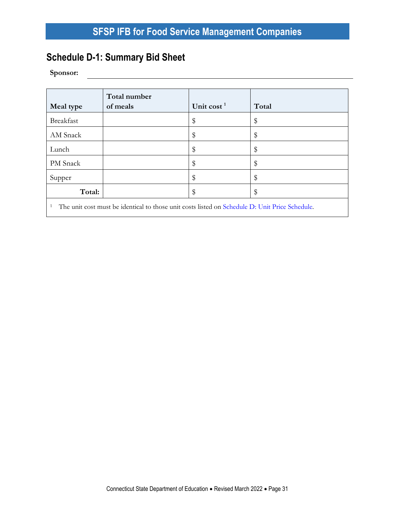# <span id="page-34-0"></span>**Schedule D-1: Summary Bid Sheet**

**Sponsor:**

| Meal type                                                                                      | Total number<br>of meals | Unit $\cos t$ <sup>1</sup> | Total |  |  |  |
|------------------------------------------------------------------------------------------------|--------------------------|----------------------------|-------|--|--|--|
| Breakfast                                                                                      |                          | \$                         | \$    |  |  |  |
| AM Snack                                                                                       |                          | \$                         | \$    |  |  |  |
| Lunch                                                                                          |                          | \$                         | \$    |  |  |  |
| PM Snack                                                                                       |                          | \$                         | \$    |  |  |  |
| Supper                                                                                         |                          | \$                         | \$    |  |  |  |
| Total:                                                                                         |                          | \$                         | \$    |  |  |  |
| The unit cost must be identical to those unit costs listed on Schedule D: Unit Price Schedule. |                          |                            |       |  |  |  |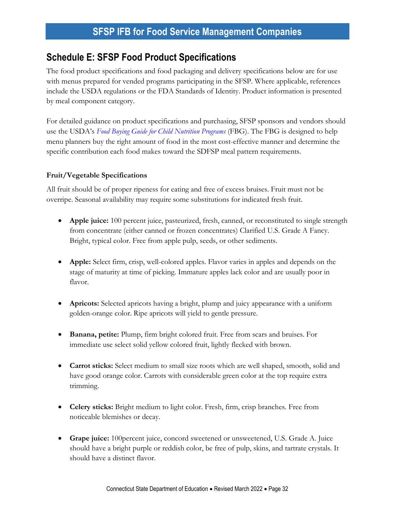### <span id="page-35-0"></span>**Schedule E: SFSP Food Product Specifications**

The food product specifications and food packaging and delivery specifications below are for use with menus prepared for vended programs participating in the SFSP. Where applicable, references include the USDA regulations or the FDA Standards of Identity. Product information is presented by meal component category.

For detailed guidance on product specifications and purchasing, SFSP sponsors and vendors should use the USDA's *[Food Buying Guide for Child Nutrition Programs](https://www.fns.usda.gov/tn/food-buying-guide-for-child-nutrition-programs)* (FBG). The FBG is designed to help menu planners buy the right amount of food in the most cost-effective manner and determine the specific contribution each food makes toward the SDFSP meal pattern requirements.

#### **Fruit/Vegetable Specifications**

All fruit should be of proper ripeness for eating and free of excess bruises. Fruit must not be overripe. Seasonal availability may require some substitutions for indicated fresh fruit.

- **Apple juice:** 100 percent juice, pasteurized, fresh, canned, or reconstituted to single strength from concentrate (either canned or frozen concentrates) Clarified U.S. Grade A Fancy. Bright, typical color. Free from apple pulp, seeds, or other sediments.
- **Apple:** Select firm, crisp, well-colored apples. Flavor varies in apples and depends on the stage of maturity at time of picking. Immature apples lack color and are usually poor in flavor.
- **Apricots:** Selected apricots having a bright, plump and juicy appearance with a uniform golden-orange color. Ripe apricots will yield to gentle pressure.
- **Banana, petite:** Plump, firm bright colored fruit. Free from scars and bruises. For immediate use select solid yellow colored fruit, lightly flecked with brown.
- **Carrot sticks:** Select medium to small size roots which are well shaped, smooth, solid and have good orange color. Carrots with considerable green color at the top require extra trimming.
- **Celery sticks:** Bright medium to light color. Fresh, firm, crisp branches. Free from noticeable blemishes or decay.
- **Grape juice:** 100percent juice, concord sweetened or unsweetened, U.S. Grade A. Juice should have a bright purple or reddish color, be free of pulp, skins, and tartrate crystals. It should have a distinct flavor.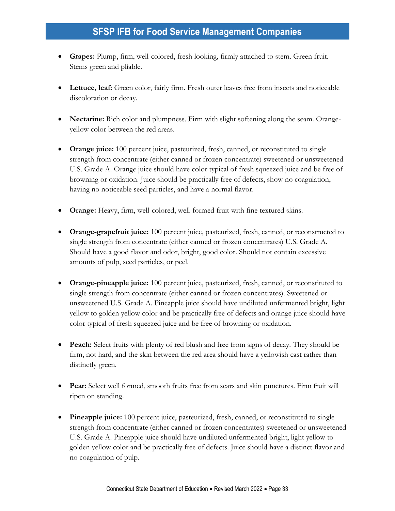- **Grapes:** Plump, firm, well-colored, fresh looking, firmly attached to stem. Green fruit. Stems green and pliable.
- **Lettuce, leaf:** Green color, fairly firm. Fresh outer leaves free from insects and noticeable discoloration or decay.
- **Nectarine:** Rich color and plumpness. Firm with slight softening along the seam. Orangeyellow color between the red areas.
- **Orange juice:** 100 percent juice, pasteurized, fresh, canned, or reconstituted to single strength from concentrate (either canned or frozen concentrate) sweetened or unsweetened U.S. Grade A. Orange juice should have color typical of fresh squeezed juice and be free of browning or oxidation. Juice should be practically free of defects, show no coagulation, having no noticeable seed particles, and have a normal flavor.
- **Orange:** Heavy, firm, well-colored, well-formed fruit with fine textured skins.
- **Orange-grapefruit juice:** 100 percent juice, pasteurized, fresh, canned, or reconstructed to single strength from concentrate (either canned or frozen concentrates) U.S. Grade A. Should have a good flavor and odor, bright, good color. Should not contain excessive amounts of pulp, seed particles, or peel.
- **Orange-pineapple juice:** 100 percent juice, pasteurized, fresh, canned, or reconstituted to single strength from concentrate (either canned or frozen concentrates). Sweetened or unsweetened U.S. Grade A. Pineapple juice should have undiluted unfermented bright, light yellow to golden yellow color and be practically free of defects and orange juice should have color typical of fresh squeezed juice and be free of browning or oxidation.
- **Peach:** Select fruits with plenty of red blush and free from signs of decay. They should be firm, not hard, and the skin between the red area should have a yellowish cast rather than distinctly green.
- **Pear:** Select well formed, smooth fruits free from scars and skin punctures. Firm fruit will ripen on standing.
- **Pineapple juice:** 100 percent juice, pasteurized, fresh, canned, or reconstituted to single strength from concentrate (either canned or frozen concentrates) sweetened or unsweetened U.S. Grade A. Pineapple juice should have undiluted unfermented bright, light yellow to golden yellow color and be practically free of defects. Juice should have a distinct flavor and no coagulation of pulp.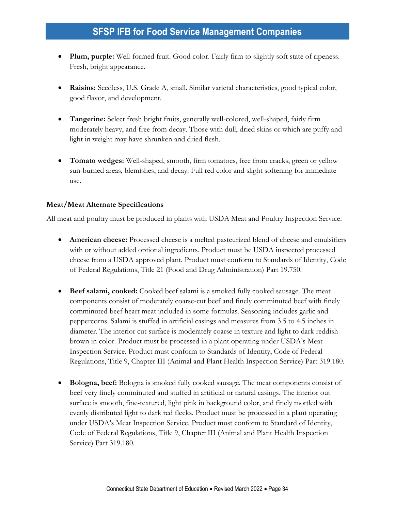- **Plum, purple:** Well-formed fruit. Good color. Fairly firm to slightly soft state of ripeness. Fresh, bright appearance.
- **Raisins:** Seedless, U.S. Grade A, small. Similar varietal characteristics, good typical color, good flavor, and development.
- **Tangerine:** Select fresh bright fruits, generally well-colored, well-shaped, fairly firm moderately heavy, and free from decay. Those with dull, dried skins or which are puffy and light in weight may have shrunken and dried flesh.
- **Tomato wedges:** Well-shaped, smooth, firm tomatoes, free from cracks, green or yellow sun-burned areas, blemishes, and decay. Full red color and slight softening for immediate use.

#### **Meat/Meat Alternate Specifications**

All meat and poultry must be produced in plants with USDA Meat and Poultry Inspection Service.

- **American cheese:** Processed cheese is a melted pasteurized blend of cheese and emulsifiers with or without added optional ingredients. Product must be USDA inspected processed cheese from a USDA approved plant. Product must conform to Standards of Identity, Code of Federal Regulations, Title 21 (Food and Drug Administration) Part 19.750.
- **Beef salami, cooked:** Cooked beef salami is a smoked fully cooked sausage. The meat components consist of moderately coarse-cut beef and finely comminuted beef with finely comminuted beef heart meat included in some formulas. Seasoning includes garlic and peppercorns. Salami is stuffed in artificial casings and measures from 3.5 to 4.5 inches in diameter. The interior cut surface is moderately coarse in texture and light to dark reddishbrown in color. Product must be processed in a plant operating under USDA's Meat Inspection Service. Product must conform to Standards of Identity, Code of Federal Regulations, Title 9, Chapter III (Animal and Plant Health Inspection Service) Part 319.180.
- **Bologna, beef:** Bologna is smoked fully cooked sausage. The meat components consist of beef very finely comminuted and stuffed in artificial or natural casings. The interior out surface is smooth, fine-textured, light pink in background color, and finely mottled with evenly distributed light to dark red flecks. Product must be processed in a plant operating under USDA's Meat Inspection Service. Product must conform to Standard of Identity, Code of Federal Regulations, Title 9, Chapter III (Animal and Plant Health Inspection Service) Part 319.180.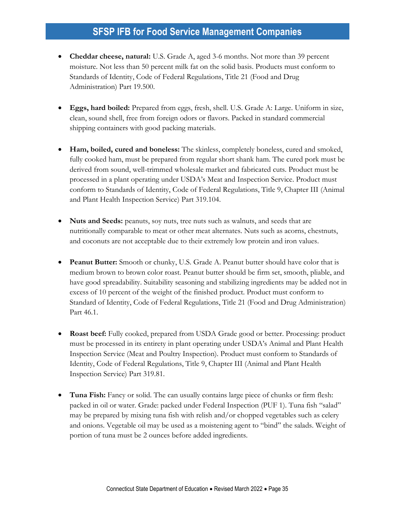- **Cheddar cheese, natural:** U.S. Grade A, aged 3-6 months. Not more than 39 percent moisture. Not less than 50 percent milk fat on the solid basis. Products must conform to Standards of Identity, Code of Federal Regulations, Title 21 (Food and Drug Administration) Part 19.500.
- **Eggs, hard boiled:** Prepared from eggs, fresh, shell. U.S. Grade A: Large. Uniform in size, clean, sound shell, free from foreign odors or flavors. Packed in standard commercial shipping containers with good packing materials.
- **Ham, boiled, cured and boneless:** The skinless, completely boneless, cured and smoked, fully cooked ham, must be prepared from regular short shank ham. The cured pork must be derived from sound, well-trimmed wholesale market and fabricated cuts. Product must be processed in a plant operating under USDA's Meat and Inspection Service. Product must conform to Standards of Identity, Code of Federal Regulations, Title 9, Chapter III (Animal and Plant Health Inspection Service) Part 319.104.
- **Nuts and Seeds:** peanuts, soy nuts, tree nuts such as walnuts, and seeds that are nutritionally comparable to meat or other meat alternates. Nuts such as acorns, chestnuts, and coconuts are not acceptable due to their extremely low protein and iron values.
- **Peanut Butter:** Smooth or chunky, U.S. Grade A. Peanut butter should have color that is medium brown to brown color roast. Peanut butter should be firm set, smooth, pliable, and have good spreadability. Suitability seasoning and stabilizing ingredients may be added not in excess of 10 percent of the weight of the finished product. Product must conform to Standard of Identity, Code of Federal Regulations, Title 21 (Food and Drug Administration) Part 46.1.
- **Roast beef:** Fully cooked, prepared from USDA Grade good or better. Processing: product must be processed in its entirety in plant operating under USDA's Animal and Plant Health Inspection Service (Meat and Poultry Inspection). Product must conform to Standards of Identity, Code of Federal Regulations, Title 9, Chapter III (Animal and Plant Health Inspection Service) Part 319.81.
- **Tuna Fish:** Fancy or solid. The can usually contains large piece of chunks or firm flesh: packed in oil or water. Grade: packed under Federal Inspection (PUF 1). Tuna fish "salad" may be prepared by mixing tuna fish with relish and/or chopped vegetables such as celery and onions. Vegetable oil may be used as a moistening agent to "bind" the salads. Weight of portion of tuna must be 2 ounces before added ingredients.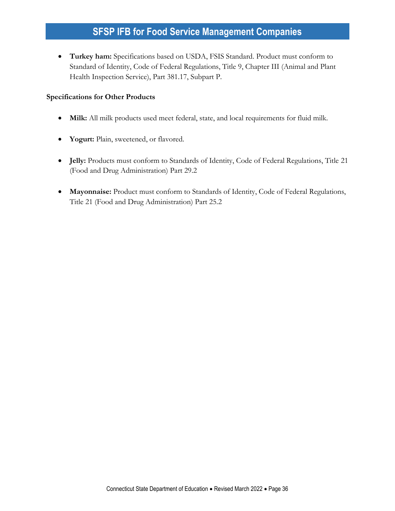• **Turkey ham:** Specifications based on USDA, FSIS Standard. Product must conform to Standard of Identity, Code of Federal Regulations, Title 9, Chapter III (Animal and Plant Health Inspection Service), Part 381.17, Subpart P.

#### **Specifications for Other Products**

- **Milk:** All milk products used meet federal, state, and local requirements for fluid milk.
- **Yogurt:** Plain, sweetened, or flavored.
- **Jelly:** Products must conform to Standards of Identity, Code of Federal Regulations, Title 21 (Food and Drug Administration) Part 29.2
- **Mayonnaise:** Product must conform to Standards of Identity, Code of Federal Regulations, Title 21 (Food and Drug Administration) Part 25.2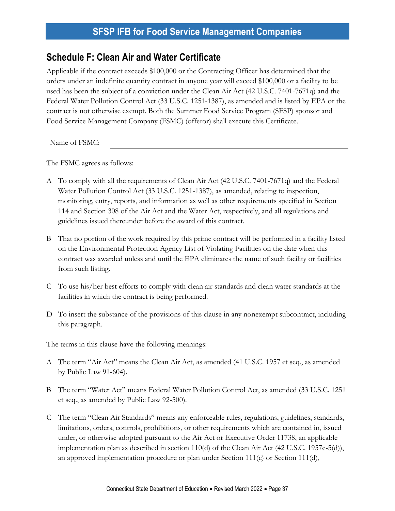### <span id="page-40-0"></span>**Schedule F: Clean Air and Water Certificate**

Applicable if the contract exceeds \$100,000 or the Contracting Officer has determined that the orders under an indefinite quantity contract in anyone year will exceed \$100,000 or a facility to be used has been the subject of a conviction under the Clean Air Act (42 U.S.C. 7401-7671q) and the Federal Water Pollution Control Act (33 U.S.C. 1251-1387), as amended and is listed by EPA or the contract is not otherwise exempt. Both the Summer Food Service Program (SFSP) sponsor and Food Service Management Company (FSMC) (offeror) shall execute this Certificate.

Name of FSMC:

The FSMC agrees as follows:

- A To comply with all the requirements of Clean Air Act (42 U.S.C. 7401-7671q) and the Federal Water Pollution Control Act (33 U.S.C. 1251-1387), as amended, relating to inspection, monitoring, entry, reports, and information as well as other requirements specified in Section 114 and Section 308 of the Air Act and the Water Act, respectively, and all regulations and guidelines issued thereunder before the award of this contract.
- B That no portion of the work required by this prime contract will be performed in a facility listed on the Environmental Protection Agency List of Violating Facilities on the date when this contract was awarded unless and until the EPA eliminates the name of such facility or facilities from such listing.
- C To use his/her best efforts to comply with clean air standards and clean water standards at the facilities in which the contract is being performed.
- D To insert the substance of the provisions of this clause in any nonexempt subcontract, including this paragraph.

The terms in this clause have the following meanings:

- A The term "Air Act" means the Clean Air Act, as amended (41 U.S.C. 1957 et seq., as amended by Public Law 91-604).
- B The term "Water Act" means Federal Water Pollution Control Act, as amended (33 U.S.C. 1251 et seq., as amended by Public Law 92-500).
- C The term "Clean Air Standards" means any enforceable rules, regulations, guidelines, standards, limitations, orders, controls, prohibitions, or other requirements which are contained in, issued under, or otherwise adopted pursuant to the Air Act or Executive Order 11738, an applicable implementation plan as described in section 110(d) of the Clean Air Act (42 U.S.C. 1957c-5(d)), an approved implementation procedure or plan under Section 111 $(c)$  or Section 111 $(d)$ ,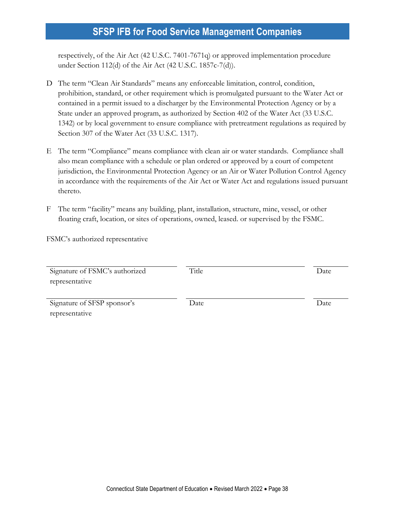respectively, of the Air Act (42 U.S.C. 7401-7671q) or approved implementation procedure under Section 112(d) of the Air Act (42 U.S.C. 1857c-7(d)).

- D The term "Clean Air Standards" means any enforceable limitation, control, condition, prohibition, standard, or other requirement which is promulgated pursuant to the Water Act or contained in a permit issued to a discharger by the Environmental Protection Agency or by a State under an approved program, as authorized by Section 402 of the Water Act (33 U.S.C. 1342) or by local government to ensure compliance with pretreatment regulations as required by Section 307 of the Water Act (33 U.S.C. 1317).
- E The term "Compliance" means compliance with clean air or water standards. Compliance shall also mean compliance with a schedule or plan ordered or approved by a court of competent jurisdiction, the Environmental Protection Agency or an Air or Water Pollution Control Agency in accordance with the requirements of the Air Act or Water Act and regulations issued pursuant thereto.
- F The term "facility" means any building, plant, installation, structure, mine, vessel, or other floating craft, location, or sites of operations, owned, leased. or supervised by the FSMC.

FSMC's authorized representative

| Signature of FSMC's authorized<br>representative | Title | Date |
|--------------------------------------------------|-------|------|
| Signature of SFSP sponsor's<br>representative    | Date  | Date |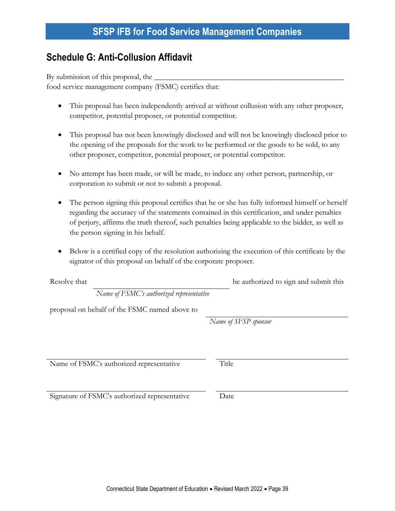### <span id="page-42-0"></span>**Schedule G: Anti-Collusion Affidavit**

By submission of this proposal, the  $\overline{\phantom{a}}$ food service management company (FSMC) certifies that:

- This proposal has been independently arrived at without collusion with any other proposer, competitor, potential proposer, or potential competitor.
- This proposal has not been knowingly disclosed and will not be knowingly disclosed prior to the opening of the proposals for the work to be performed or the goods to be sold, to any other proposer, competitor, potential proposer, or potential competitor.
- No attempt has been made, or will be made, to induce any other person, partnership, or corporation to submit or not to submit a proposal.
- The person signing this proposal certifies that he or she has fully informed himself or herself regarding the accuracy of the statements contained in this certification, and under penalties of perjury, affirms the truth thereof, such penalties being applicable to the bidder, as well as the person signing in his behalf.
- Below is a certified copy of the resolution authorizing the execution of this certificate by the signator of this proposal on behalf of the corporate proposer.

| Resolve that |  |  | be authorized to sign and submit this |
|--------------|--|--|---------------------------------------|
|              |  |  |                                       |

*Name of FSMC's authorized representative*

proposal on behalf of the FSMC named above to

*Name of SFSP sponsor*

Name of FSMC's authorized representative Title

Signature of FSMC's authorized representative Date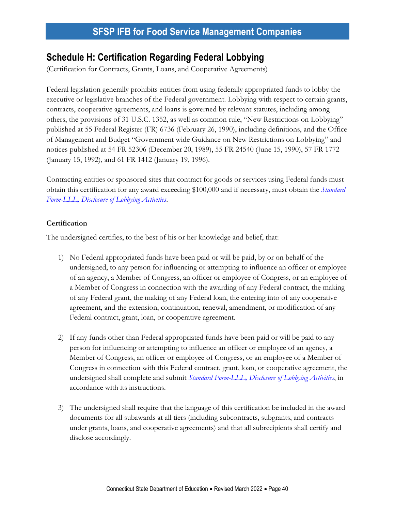### <span id="page-43-0"></span>**Schedule H: Certification Regarding Federal Lobbying**

(Certification for Contracts, Grants, Loans, and Cooperative Agreements)

Federal legislation generally prohibits entities from using federally appropriated funds to lobby the executive or legislative branches of the Federal government. Lobbying with respect to certain grants, contracts, cooperative agreements, and loans is governed by relevant statutes, including among others, the provisions of 31 U.S.C. 1352, as well as common rule, "New Restrictions on Lobbying" published at 55 Federal Register (FR) 6736 (February 26, 1990), including definitions, and the Office of Management and Budget "Government wide Guidance on New Restrictions on Lobbying" and notices published at 54 FR 52306 (December 20, 1989), 55 FR 24540 (June 15, 1990), 57 FR 1772 (January 15, 1992), and 61 FR 1412 (January 19, 1996).

Contracting entities or sponsored sites that contract for goods or services using Federal funds must obtain this certification for any award exceeding \$100,000 and if necessary, must obtain the *[Standard](https://forms.sc.egov.usda.gov/efcommon/eFileServices/eFormsAdmin/SF-LLL_9707V01.pdf)  [Form-LLL, Disclosure of Lobbying Activities](https://forms.sc.egov.usda.gov/efcommon/eFileServices/eFormsAdmin/SF-LLL_9707V01.pdf)*.

#### **Certification**

The undersigned certifies, to the best of his or her knowledge and belief, that:

- 1) No Federal appropriated funds have been paid or will be paid, by or on behalf of the undersigned, to any person for influencing or attempting to influence an officer or employee of an agency, a Member of Congress, an officer or employee of Congress, or an employee of a Member of Congress in connection with the awarding of any Federal contract, the making of any Federal grant, the making of any Federal loan, the entering into of any cooperative agreement, and the extension, continuation, renewal, amendment, or modification of any Federal contract, grant, loan, or cooperative agreement.
- 2) If any funds other than Federal appropriated funds have been paid or will be paid to any person for influencing or attempting to influence an officer or employee of an agency, a Member of Congress, an officer or employee of Congress, or an employee of a Member of Congress in connection with this Federal contract, grant, loan, or cooperative agreement, the undersigned shall complete and submit *[Standard Form-LLL, Disclosure of Lobbying Activities](https://forms.sc.egov.usda.gov/efcommon/eFileServices/eFormsAdmin/SF-LLL_9707V01.pdf)*, in accordance with its instructions.
- 3) The undersigned shall require that the language of this certification be included in the award documents for all subawards at all tiers (including subcontracts, subgrants, and contracts under grants, loans, and cooperative agreements) and that all subrecipients shall certify and disclose accordingly.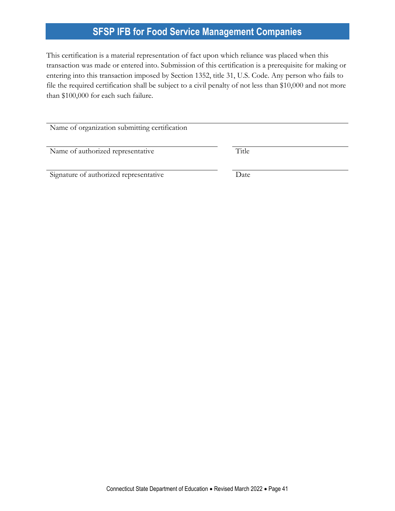This certification is a material representation of fact upon which reliance was placed when this transaction was made or entered into. Submission of this certification is a prerequisite for making or entering into this transaction imposed by Section 1352, title 31, U.S. Code. Any person who fails to file the required certification shall be subject to a civil penalty of not less than \$10,000 and not more than \$100,000 for each such failure.

Name of organization submitting certification

Name of authorized representative Title

Signature of authorized representative Date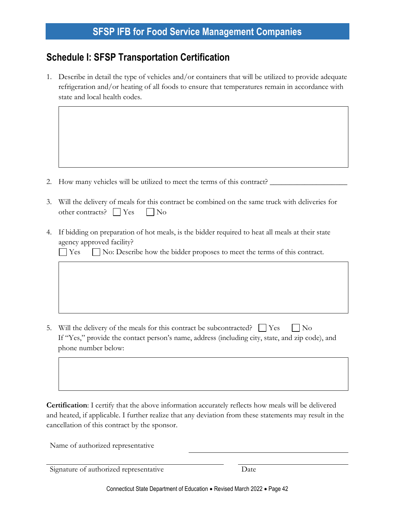### <span id="page-45-0"></span>**Schedule I: SFSP Transportation Certification**

1. Describe in detail the type of vehicles and/or containers that will be utilized to provide adequate refrigeration and/or heating of all foods to ensure that temperatures remain in accordance with state and local health codes.

- 2. How many vehicles will be utilized to meet the terms of this contract?
- 3. Will the delivery of meals for this contract be combined on the same truck with deliveries for other contracts?  $\Box$  Yes  $\Box$  No
- 4. If bidding on preparation of hot meals, is the bidder required to heat all meals at their state agency approved facility?

 $\Box$  Yes  $\Box$  No: Describe how the bidder proposes to meet the terms of this contract.

5. Will the delivery of the meals for this contract be subcontracted?  $\Box$  Yes  $\Box$  No If "Yes," provide the contact person's name, address (including city, state, and zip code), and phone number below:

**Certification**: I certify that the above information accurately reflects how meals will be delivered and heated, if applicable. I further realize that any deviation from these statements may result in the cancellation of this contract by the sponsor.

Name of authorized representative

Signature of authorized representative Date